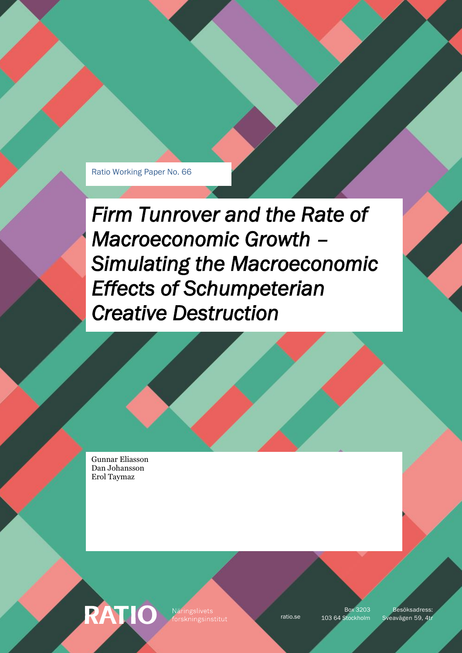Ratio Working Paper No. 66

*Firm Tunrover and the Rate of Macroeconomic Growth – Simulating the Macroeconomic Effects of Schumpeterian Creative Destruction* 

Gunnar Eliasson Dan Johansson Erol Taymaz

RATIO Näringslivets

Box 3203

ratio.se 103 64 Stockholm Sveavägen 59, 4tr Besöksadress: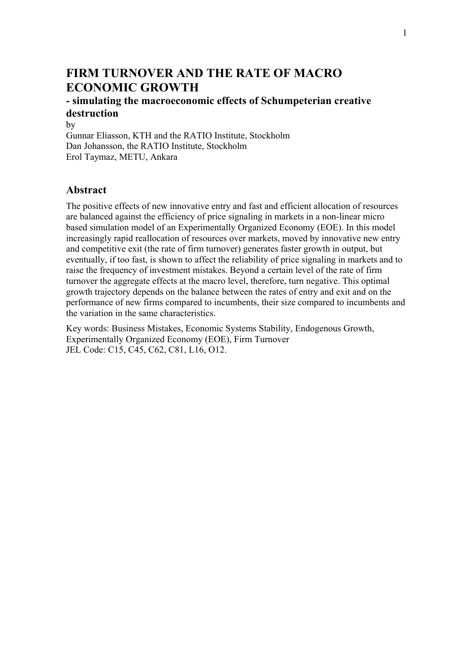# **FIRM TURNOVER AND THE RATE OF MACRO ECONOMIC GROWTH**

## **- simulating the macroeconomic effects of Schumpeterian creative destruction**

by

Gunnar Eliasson, KTH and the RATIO Institute, Stockholm Dan Johansson, the RATIO Institute, Stockholm Erol Taymaz, METU, Ankara

## **Abstract**

The positive effects of new innovative entry and fast and efficient allocation of resources are balanced against the efficiency of price signaling in markets in a non-linear micro based simulation model of an Experimentally Organized Economy (EOE). In this model increasingly rapid reallocation of resources over markets, moved by innovative new entry and competitive exit (the rate of firm turnover) generates faster growth in output, but eventually, if too fast, is shown to affect the reliability of price signaling in markets and to raise the frequency of investment mistakes. Beyond a certain level of the rate of firm turnover the aggregate effects at the macro level, therefore, turn negative. This optimal growth trajectory depends on the balance between the rates of entry and exit and on the performance of new firms compared to incumbents, their size compared to incumbents and the variation in the same characteristics.

Key words: Business Mistakes, Economic Systems Stability, Endogenous Growth, Experimentally Organized Economy (EOE), Firm Turnover JEL Code: C15, C45, C62, C81, L16, O12.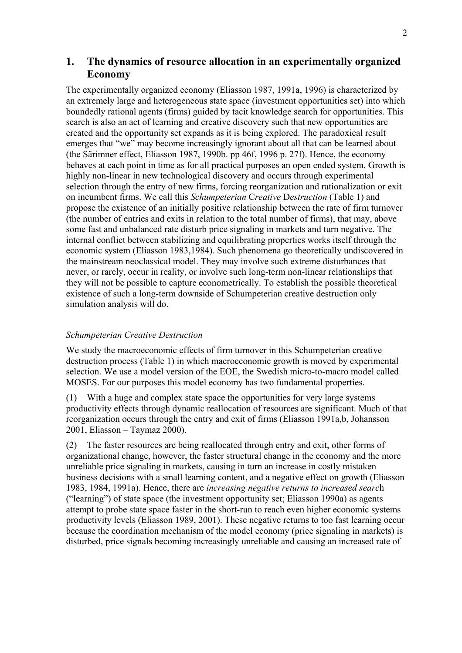## **1. The dynamics of resource allocation in an experimentally organized Economy**

The experimentally organized economy (Eliasson 1987, 1991a, 1996) is characterized by an extremely large and heterogeneous state space (investment opportunities set) into which boundedly rational agents (firms) guided by tacit knowledge search for opportunities. This search is also an act of learning and creative discovery such that new opportunities are created and the opportunity set expands as it is being explored. The paradoxical result emerges that "we" may become increasingly ignorant about all that can be learned about (the Särimner effect, Eliasson 1987, 1990b. pp 46f, 1996 p. 27f). Hence, the economy behaves at each point in time as for all practical purposes an open ended system. Growth is highly non-linear in new technological discovery and occurs through experimental selection through the entry of new firms, forcing reorganization and rationalization or exit on incumbent firms. We call this *Schumpeterian* C*reative* D*estruction* (Table 1) and propose the existence of an initially positive relationship between the rate of firm turnover (the number of entries and exits in relation to the total number of firms), that may, above some fast and unbalanced rate disturb price signaling in markets and turn negative. The internal conflict between stabilizing and equilibrating properties works itself through the economic system (Eliasson 1983,1984). Such phenomena go theoretically undiscovered in the mainstream neoclassical model. They may involve such extreme disturbances that never, or rarely, occur in reality, or involve such long-term non-linear relationships that they will not be possible to capture econometrically. To establish the possible theoretical existence of such a long-term downside of Schumpeterian creative destruction only simulation analysis will do.

### *Schumpeterian Creative Destruction*

We study the macroeconomic effects of firm turnover in this Schumpeterian creative destruction process (Table 1) in which macroeconomic growth is moved by experimental selection. We use a model version of the EOE, the Swedish micro-to-macro model called MOSES. For our purposes this model economy has two fundamental properties.

(1) With a huge and complex state space the opportunities for very large systems productivity effects through dynamic reallocation of resources are significant. Much of that reorganization occurs through the entry and exit of firms (Eliasson 1991a,b, Johansson 2001, Eliasson – Taymaz 2000).

(2) The faster resources are being reallocated through entry and exit, other forms of organizational change, however, the faster structural change in the economy and the more unreliable price signaling in markets, causing in turn an increase in costly mistaken business decisions with a small learning content, and a negative effect on growth (Eliasson 1983, 1984, 1991a). Hence, there are *increasing negative returns to increased searc*h ("learning") of state space (the investment opportunity set; Eliasson 1990a) as agents attempt to probe state space faster in the short-run to reach even higher economic systems productivity levels (Eliasson 1989, 2001). These negative returns to too fast learning occur because the coordination mechanism of the model economy (price signaling in markets) is disturbed, price signals becoming increasingly unreliable and causing an increased rate of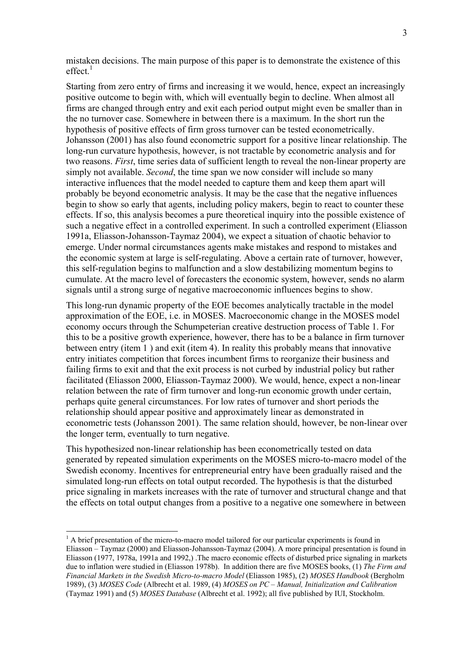mistaken decisions. The main purpose of this paper is to demonstrate the existence of this  $effect.<sup>1</sup>$ 

Starting from zero entry of firms and increasing it we would, hence, expect an increasingly positive outcome to begin with, which will eventually begin to decline. When almost all firms are changed through entry and exit each period output might even be smaller than in the no turnover case. Somewhere in between there is a maximum. In the short run the hypothesis of positive effects of firm gross turnover can be tested econometrically. Johansson (2001) has also found econometric support for a positive linear relationship. The long-run curvature hypothesis, however, is not tractable by econometric analysis and for two reasons. *First*, time series data of sufficient length to reveal the non-linear property are simply not available. *Second*, the time span we now consider will include so many interactive influences that the model needed to capture them and keep them apart will probably be beyond econometric analysis. It may be the case that the negative influences begin to show so early that agents, including policy makers, begin to react to counter these effects. If so, this analysis becomes a pure theoretical inquiry into the possible existence of such a negative effect in a controlled experiment. In such a controlled experiment (Eliasson 1991a, Eliasson-Johansson-Taymaz 2004), we expect a situation of chaotic behavior to emerge. Under normal circumstances agents make mistakes and respond to mistakes and the economic system at large is self-regulating. Above a certain rate of turnover, however, this self-regulation begins to malfunction and a slow destabilizing momentum begins to cumulate. At the macro level of forecasters the economic system, however, sends no alarm signals until a strong surge of negative macroeconomic influences begins to show.

This long-run dynamic property of the EOE becomes analytically tractable in the model approximation of the EOE, i.e. in MOSES. Macroeconomic change in the MOSES model economy occurs through the Schumpeterian creative destruction process of Table 1. For this to be a positive growth experience, however, there has to be a balance in firm turnover between entry (item 1 ) and exit (item 4). In reality this probably means that innovative entry initiates competition that forces incumbent firms to reorganize their business and failing firms to exit and that the exit process is not curbed by industrial policy but rather facilitated (Eliasson 2000, Eliasson-Taymaz 2000). We would, hence, expect a non-linear relation between the rate of firm turnover and long-run economic growth under certain, perhaps quite general circumstances. For low rates of turnover and short periods the relationship should appear positive and approximately linear as demonstrated in econometric tests (Johansson 2001). The same relation should, however, be non-linear over the longer term, eventually to turn negative.

This hypothesized non-linear relationship has been econometrically tested on data generated by repeated simulation experiments on the MOSES micro-to-macro model of the Swedish economy. Incentives for entrepreneurial entry have been gradually raised and the simulated long-run effects on total output recorded. The hypothesis is that the disturbed price signaling in markets increases with the rate of turnover and structural change and that the effects on total output changes from a positive to a negative one somewhere in between

 $\overline{a}$ 

<span id="page-3-0"></span><sup>&</sup>lt;sup>1</sup> A brief presentation of the micro-to-macro model tailored for our particular experiments is found in Eliasson – Taymaz (2000) and Eliasson-Johansson-Taymaz (2004). A more principal presentation is found in Eliasson (1977, 1978a, 1991a and 1992,) .The macro economic effects of disturbed price signaling in markets due to inflation were studied in (Eliasson 1978b). In addition there are five MOSES books, (1) *The Firm and Financial Markets in the Swedish Micro-to-macro Model* (Eliasson 1985), (2) *MOSES Handbook* (Bergholm 1989), (3) *MOSES Code* (Albrecht et al. 1989, (4) *MOSES on PC – Manual, Initialization and Calibration* (Taymaz 1991) and (5) *MOSES Database* (Albrecht et al. 1992); all five published by IUI, Stockholm.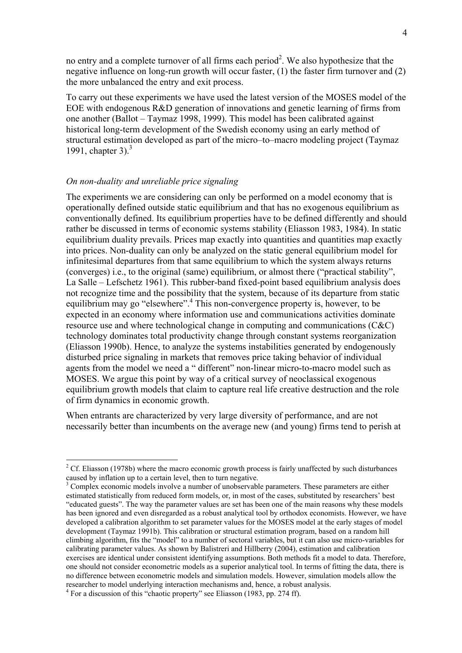no entry and a complete turnover of all firms each period<sup>2</sup>. We also hypothesize that the negative influence on long-run growth will occur faster, (1) the faster firm turnover and (2) the more unbalanced the entry and exit process.

To carry out these experiments we have used the latest version of the MOSES model of the EOE with endogenous R&D generation of innovations and genetic learning of firms from one another (Ballot – Taymaz 1998, 1999). This model has been calibrated against historical long-term development of the Swedish economy using an early method of structural estimation developed as part of the micro–to–macro modeling project (Taymaz 1991, chapter 3). $3$ 

#### *On non-duality and unreliable price signaling*

 $\overline{a}$ 

The experiments we are considering can only be performed on a model economy that is operationally defined outside static equilibrium and that has no exogenous equilibrium as conventionally defined. Its equilibrium properties have to be defined differently and should rather be discussed in terms of economic systems stability (Eliasson 1983, 1984). In static equilibrium duality prevails. Prices map exactly into quantities and quantities map exactly into prices. Non-duality can only be analyzed on the static general equilibrium model for infinitesimal departures from that same equilibrium to which the system always returns (converges) i.e., to the original (same) equilibrium, or almost there ("practical stability", La Salle – Lefschetz 1961). This rubber-band fixed-point based equilibrium analysis does not recognize time and the possibility that the system, because of its departure from static equilibrium may go "elsewhere".<sup>4</sup> This non-convergence property is, however, to be expected in an economy where information use and communications activities dominate resource use and where technological change in computing and communications (C&C) technology dominates total productivity change through constant systems reorganization (Eliasson 1990b). Hence, to analyze the systems instabilities generated by endogenously disturbed price signaling in markets that removes price taking behavior of individual agents from the model we need a " different" non-linear micro-to-macro model such as MOSES. We argue this point by way of a critical survey of neoclassical exogenous equilibrium growth models that claim to capture real life creative destruction and the role of firm dynamics in economic growth.

When entrants are characterized by very large diversity of performance, and are not necessarily better than incumbents on the average new (and young) firms tend to perish at

<span id="page-4-0"></span> $2^2$  Cf. Eliasson (1978b) where the macro economic growth process is fairly unaffected by such disturbances caused by inflation up to a certain level, then to turn negative.

<span id="page-4-1"></span><sup>&</sup>lt;sup>3</sup> Complex economic models involve a number of unobservable parameters. These parameters are either estimated statistically from reduced form models, or, in most of the cases, substituted by researchers' best "educated guests". The way the parameter values are set has been one of the main reasons why these models has been ignored and even disregarded as a robust analytical tool by orthodox economists. However, we have developed a calibration algorithm to set parameter values for the MOSES model at the early stages of model development (Taymaz 1991b). This calibration or structural estimation program, based on a random hill climbing algorithm, fits the "model" to a number of sectoral variables, but it can also use micro-variables for calibrating parameter values. As shown by Balistreri and Hillberry (2004), estimation and calibration exercises are identical under consistent identifying assumptions. Both methods fit a model to data. Therefore, one should not consider econometric models as a superior analytical tool. In terms of fitting the data, there is no difference between econometric models and simulation models. However, simulation models allow the researcher to model underlying interaction mechanisms and, hence, a robust analysis. 4

<span id="page-4-2"></span> $4$  For a discussion of this "chaotic property" see Eliasson (1983, pp. 274 ff).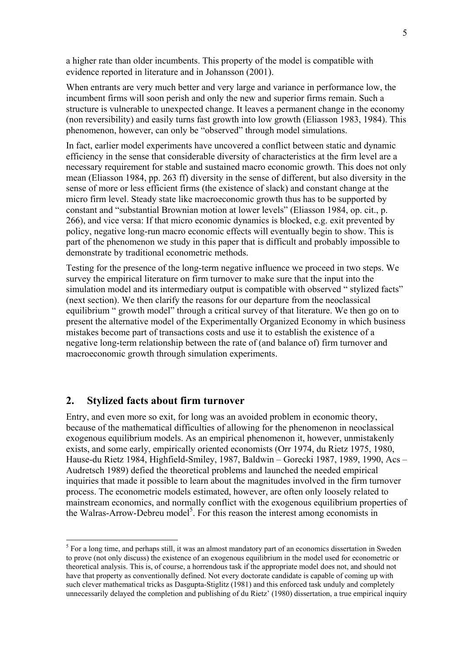<span id="page-5-0"></span>a higher rate than older incumbents. This property of the model is compatible with evidence reported in literature and in Johansson (2001).

When entrants are very much better and very large and variance in performance low, the incumbent firms will soon perish and only the new and superior firms remain. Such a structure is vulnerable to unexpected change. It leaves a permanent change in the economy (non reversibility) and easily turns fast growth into low growth (Eliasson 1983, 1984). This phenomenon, however, can only be "observed" through model simulations.

In fact, earlier model experiments have uncovered a conflict between static and dynamic efficiency in the sense that considerable diversity of characteristics at the firm level are a necessary requirement for stable and sustained macro economic growth. This does not only mean (Eliasson 1984, pp. 263 ff) diversity in the sense of different, but also diversity in the sense of more or less efficient firms (the existence of slack) and constant change at the micro firm level. Steady state like macroeconomic growth thus has to be supported by constant and "substantial Brownian motion at lower levels" (Eliasson 1984, op. cit., p. 266), and vice versa: If that micro economic dynamics is blocked, e.g. exit prevented by policy, negative long-run macro economic effects will eventually begin to show. This is part of the phenomenon we study in this paper that is difficult and probably impossible to demonstrate by traditional econometric methods.

Testing for the presence of the long-term negative influence we proceed in two steps. We survey the empirical literature on firm turnover to make sure that the input into the simulation model and its intermediary output is compatible with observed " stylized facts" (next section). We then clarify the reasons for our departure from the neoclassical equilibrium " growth model" through a critical survey of that literature. We then go on to present the alternative model of the Experimentally Organized Economy in which business mistakes become part of transactions costs and use it to establish the existence of a negative long-term relationship between the rate of (and balance of) firm turnover and macroeconomic growth through simulation experiments.

#### **2. Stylized facts about firm turnover**

 $\overline{a}$ 

Entry, and even more so exit, for long was an avoided problem in economic theory, because of the mathematical difficulties of allowing for the phenomenon in neoclassical exogenous equilibrium models. As an empirical phenomenon it, however, unmistakenly exists, and some early, empirically oriented economists (Orr 1974, du Rietz 1975, 1980, Hause-du Rietz 1984, Highfield-Smiley, 1987, Baldwin – Gorecki 1987, 1989, 1990, Acs – Audretsch 1989) defied the theoretical problems and launched the needed empirical inquiries that made it possible to learn about the magnitudes involved in the firm turnover process. The econometric models estimated, however, are often only loosely related to mainstream economics, and normally conflict with the exogenous equilibrium properties of the Walras-Arrow-Debreu model<sup>[5](#page-5-0)</sup>. For this reason the interest among economists in

<sup>&</sup>lt;sup>5</sup> For a long time, and perhaps still, it was an almost mandatory part of an economics dissertation in Sweden to prove (not only discuss) the existence of an exogenous equilibrium in the model used for econometric or theoretical analysis. This is, of course, a horrendous task if the appropriate model does not, and should not have that property as conventionally defined. Not every doctorate candidate is capable of coming up with such clever mathematical tricks as Dasgupta-Stiglitz (1981) and this enforced task unduly and completely unnecessarily delayed the completion and publishing of du Rietz' (1980) dissertation, a true empirical inquiry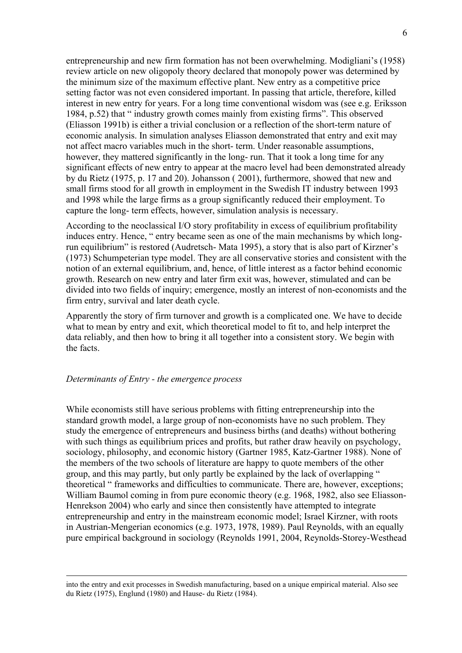entrepreneurship and new firm formation has not been overwhelming. Modigliani's (1958) review article on new oligopoly theory declared that monopoly power was determined by the minimum size of the maximum effective plant. New entry as a competitive price setting factor was not even considered important. In passing that article, therefore, killed interest in new entry for years. For a long time conventional wisdom was (see e.g. Eriksson 1984, p.52) that " industry growth comes mainly from existing firms". This observed (Eliasson 1991b) is either a trivial conclusion or a reflection of the short-term nature of economic analysis. In simulation analyses Eliasson demonstrated that entry and exit may not affect macro variables much in the short- term. Under reasonable assumptions, however, they mattered significantly in the long- run. That it took a long time for any significant effects of new entry to appear at the macro level had been demonstrated already by du Rietz (1975, p. 17 and 20). Johansson ( 2001), furthermore, showed that new and small firms stood for all growth in employment in the Swedish IT industry between 1993 and 1998 while the large firms as a group significantly reduced their employment. To capture the long- term effects, however, simulation analysis is necessary.

According to the neoclassical I/O story profitability in excess of equilibrium profitability induces entry. Hence, " entry became seen as one of the main mechanisms by which longrun equilibrium" is restored (Audretsch- Mata 1995), a story that is also part of Kirzner's (1973) Schumpeterian type model. They are all conservative stories and consistent with the notion of an external equilibrium, and, hence, of little interest as a factor behind economic growth. Research on new entry and later firm exit was, however, stimulated and can be divided into two fields of inquiry; emergence, mostly an interest of non-economists and the firm entry, survival and later death cycle.

Apparently the story of firm turnover and growth is a complicated one. We have to decide what to mean by entry and exit, which theoretical model to fit to, and help interpret the data reliably, and then how to bring it all together into a consistent story. We begin with the facts.

#### *Determinants of Entry - the emergence process*

While economists still have serious problems with fitting entrepreneurship into the standard growth model, a large group of non-economists have no such problem. They study the emergence of entrepreneurs and business births (and deaths) without bothering with such things as equilibrium prices and profits, but rather draw heavily on psychology, sociology, philosophy, and economic history (Gartner 1985, Katz-Gartner 1988). None of the members of the two schools of literature are happy to quote members of the other group, and this may partly, but only partly be explained by the lack of overlapping " theoretical " frameworks and difficulties to communicate. There are, however, exceptions; William Baumol coming in from pure economic theory (e.g. 1968, 1982, also see Eliasson-Henrekson 2004) who early and since then consistently have attempted to integrate entrepreneurship and entry in the mainstream economic model; Israel Kirzner, with roots in Austrian-Mengerian economics (e.g. 1973, 1978, 1989). Paul Reynolds, with an equally pure empirical background in sociology (Reynolds 1991, 2004, Reynolds-Storey-Westhead

into the entry and exit processes in Swedish manufacturing, based on a unique empirical material. Also see du Rietz (1975), Englund (1980) and Hause- du Rietz (1984).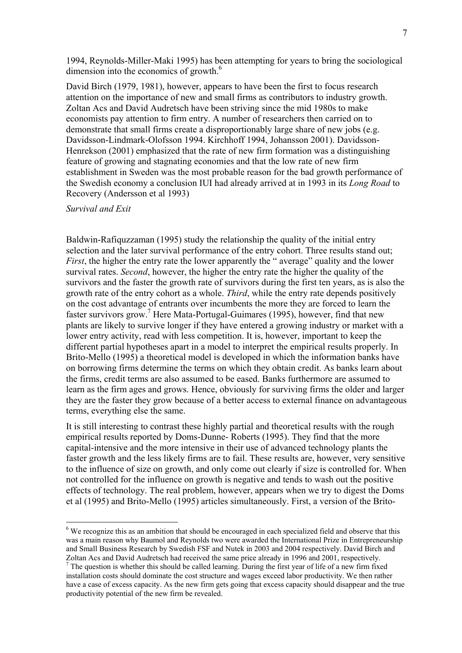1994, Reynolds-Miller-Maki 1995) has been attempting for years to bring the sociological dimension into the economics of growth.<sup>6</sup>

David Birch (1979, 1981), however, appears to have been the first to focus research attention on the importance of new and small firms as contributors to industry growth. Zoltan Acs and David Audretsch have been striving since the mid 1980s to make economists pay attention to firm entry. A number of researchers then carried on to demonstrate that small firms create a disproportionably large share of new jobs (e.g. Davidsson-Lindmark-Olofsson 1994. Kirchhoff 1994, Johansson 2001). Davidsson-Henrekson (2001) emphasized that the rate of new firm formation was a distinguishing feature of growing and stagnating economies and that the low rate of new firm establishment in Sweden was the most probable reason for the bad growth performance of the Swedish economy a conclusion IUI had already arrived at in 1993 in its *Long Road* to Recovery (Andersson et al 1993)

### *Survival and Exit*

 $\overline{a}$ 

Baldwin-Rafiquzzaman (1995) study the relationship the quality of the initial entry selection and the later survival performance of the entry cohort. Three results stand out; *First*, the higher the entry rate the lower apparently the " average" quality and the lower survival rates. *Second*, however, the higher the entry rate the higher the quality of the survivors and the faster the growth rate of survivors during the first ten years, as is also the growth rate of the entry cohort as a whole. *Third*, while the entry rate depends positively on the cost advantage of entrants over incumbents the more they are forced to learn the faster survivors grow.<sup>7</sup> Here Mata-Portugal-Guimares (1995), however, find that new plants are likely to survive longer if they have entered a growing industry or market with a lower entry activity, read with less competition. It is, however, important to keep the different partial hypotheses apart in a model to interpret the empirical results properly. In Brito-Mello (1995) a theoretical model is developed in which the information banks have on borrowing firms determine the terms on which they obtain credit. As banks learn about the firms, credit terms are also assumed to be eased. Banks furthermore are assumed to learn as the firm ages and grows. Hence, obviously for surviving firms the older and larger they are the faster they grow because of a better access to external finance on advantageous terms, everything else the same.

It is still interesting to contrast these highly partial and theoretical results with the rough empirical results reported by Doms-Dunne- Roberts (1995). They find that the more capital-intensive and the more intensive in their use of advanced technology plants the faster growth and the less likely firms are to fail. These results are, however, very sensitive to the influence of size on growth, and only come out clearly if size is controlled for. When not controlled for the influence on growth is negative and tends to wash out the positive effects of technology. The real problem, however, appears when we try to digest the Doms et al (1995) and Brito-Mello (1995) articles simultaneously. First, a version of the Brito-

<span id="page-7-0"></span><sup>&</sup>lt;sup>6</sup> We recognize this as an ambition that should be encouraged in each specialized field and observe that this was a main reason why Baumol and Reynolds two were awarded the International Prize in Entrepreneurship and Small Business Research by Swedish FSF and Nutek in 2003 and 2004 respectively. David Birch and Zoltan Acs and David Audretsch had received the same price already in 1996 and 2001, respectively.

<span id="page-7-1"></span> $7$  The question is whether this should be called learning. During the first year of life of a new firm fixed installation costs should dominate the cost structure and wages exceed labor productivity. We then rather have a case of excess capacity. As the new firm gets going that excess capacity should disappear and the true productivity potential of the new firm be revealed.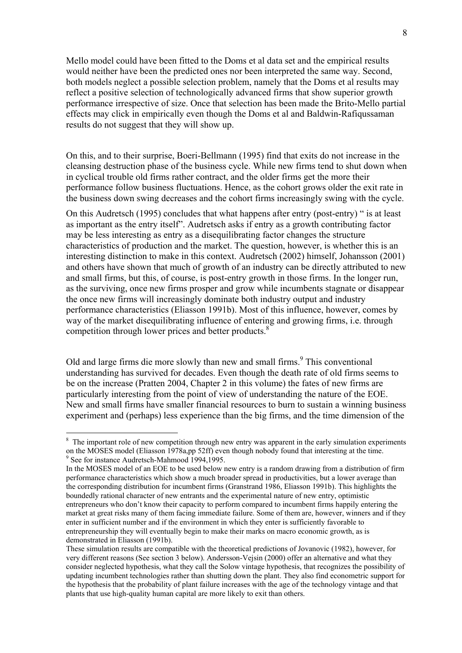Mello model could have been fitted to the Doms et al data set and the empirical results would neither have been the predicted ones nor been interpreted the same way. Second, both models neglect a possible selection problem, namely that the Doms et al results may reflect a positive selection of technologically advanced firms that show superior growth performance irrespective of size. Once that selection has been made the Brito-Mello partial effects may click in empirically even though the Doms et al and Baldwin-Rafiqussaman results do not suggest that they will show up.

On this, and to their surprise, Boeri-Bellmann (1995) find that exits do not increase in the cleansing destruction phase of the business cycle. While new firms tend to shut down when in cyclical trouble old firms rather contract, and the older firms get the more their performance follow business fluctuations. Hence, as the cohort grows older the exit rate in the business down swing decreases and the cohort firms increasingly swing with the cycle.

On this Audretsch (1995) concludes that what happens after entry (post-entry) " is at least as important as the entry itself". Audretsch asks if entry as a growth contributing factor may be less interesting as entry as a disequilibrating factor changes the structure characteristics of production and the market. The question, however, is whether this is an interesting distinction to make in this context. Audretsch (2002) himself, Johansson (2001) and others have shown that much of growth of an industry can be directly attributed to new and small firms, but this, of course, is post-entry growth in those firms. In the longer run, as the surviving, once new firms prosper and grow while incumbents stagnate or disappear the once new firms will increasingly dominate both industry output and industry performance characteristics (Eliasson 1991b). Most of this influence, however, comes by way of the market disequilibrating influence of entering and growing firms, i.e. through competition through lower prices and better products.<sup>[8](#page-8-0)</sup>

Old and large firms die more slowly than new and small firms.<sup>9</sup> This conventional understanding has survived for decades. Even though the death rate of old firms seems to be on the increase (Pratten 2004, Chapter 2 in this volume) the fates of new firms are particularly interesting from the point of view of understanding the nature of the EOE. New and small firms have smaller financial resources to burn to sustain a winning business experiment and (perhaps) less experience than the big firms, and the time dimension of the

<span id="page-8-0"></span><sup>&</sup>lt;sup>8</sup> The important role of new competition through new entry was apparent in the early simulation experiments on the MOSES model (Eliasson 1978a,pp 52ff) even though nobody found that interesting at the time. 9 See for instance Audretsch-Mahmood 1994,1995.

<span id="page-8-1"></span>In the MOSES model of an EOE to be used below new entry is a random drawing from a distribution of firm performance characteristics which show a much broader spread in productivities, but a lower average than the corresponding distribution for incumbent firms (Granstrand 1986, Eliasson 1991b). This highlights the boundedly rational character of new entrants and the experimental nature of new entry, optimistic entrepreneurs who don't know their capacity to perform compared to incumbent firms happily entering the market at great risks many of them facing immediate failure. Some of them are, however, winners and if they enter in sufficient number and if the environment in which they enter is sufficiently favorable to entrepreneurship they will eventually begin to make their marks on macro economic growth, as is demonstrated in Eliasson (1991b).

These simulation results are compatible with the theoretical predictions of Jovanovic (1982), however, for very different reasons (See section 3 below). Andersson-Vejsin (2000) offer an alternative and what they consider neglected hypothesis, what they call the Solow vintage hypothesis, that recognizes the possibility of updating incumbent technologies rather than shutting down the plant. They also find econometric support for the hypothesis that the probability of plant failure increases with the age of the technology vintage and that plants that use high-quality human capital are more likely to exit than others.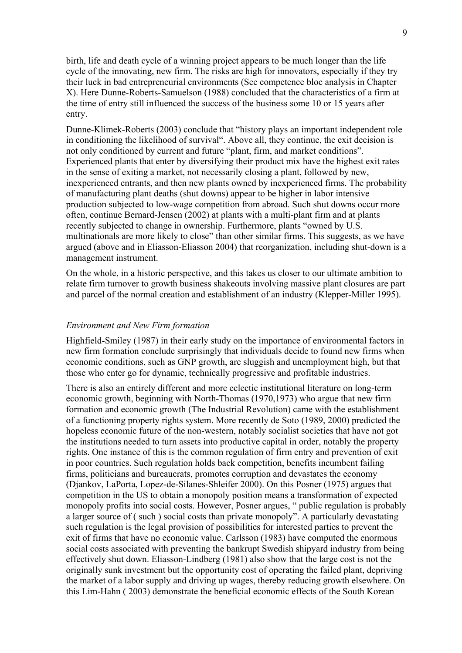birth, life and death cycle of a winning project appears to be much longer than the life cycle of the innovating, new firm. The risks are high for innovators, especially if they try their luck in bad entrepreneurial environments (See competence bloc analysis in Chapter X). Here Dunne-Roberts-Samuelson (1988) concluded that the characteristics of a firm at the time of entry still influenced the success of the business some 10 or 15 years after entry.

Dunne-Klimek-Roberts (2003) conclude that "history plays an important independent role in conditioning the likelihood of survival". Above all, they continue, the exit decision is not only conditioned by current and future "plant, firm, and market conditions". Experienced plants that enter by diversifying their product mix have the highest exit rates in the sense of exiting a market, not necessarily closing a plant, followed by new, inexperienced entrants, and then new plants owned by inexperienced firms. The probability of manufacturing plant deaths (shut downs) appear to be higher in labor intensive production subjected to low-wage competition from abroad. Such shut downs occur more often, continue Bernard-Jensen (2002) at plants with a multi-plant firm and at plants recently subjected to change in ownership. Furthermore, plants "owned by U.S. multinationals are more likely to close" than other similar firms. This suggests, as we have argued (above and in Eliasson-Eliasson 2004) that reorganization, including shut-down is a management instrument.

On the whole, in a historic perspective, and this takes us closer to our ultimate ambition to relate firm turnover to growth business shakeouts involving massive plant closures are part and parcel of the normal creation and establishment of an industry (Klepper-Miller 1995).

#### *Environment and New Firm formation*

Highfield-Smiley (1987) in their early study on the importance of environmental factors in new firm formation conclude surprisingly that individuals decide to found new firms when economic conditions, such as GNP growth, are sluggish and unemployment high, but that those who enter go for dynamic, technically progressive and profitable industries.

There is also an entirely different and more eclectic institutional literature on long-term economic growth, beginning with North-Thomas (1970,1973) who argue that new firm formation and economic growth (The Industrial Revolution) came with the establishment of a functioning property rights system. More recently de Soto (1989, 2000) predicted the hopeless economic future of the non-western, notably socialist societies that have not got the institutions needed to turn assets into productive capital in order, notably the property rights. One instance of this is the common regulation of firm entry and prevention of exit in poor countries. Such regulation holds back competition, benefits incumbent failing firms, politicians and bureaucrats, promotes corruption and devastates the economy (Djankov, LaPorta, Lopez-de-Silanes-Shleifer 2000). On this Posner (1975) argues that competition in the US to obtain a monopoly position means a transformation of expected monopoly profits into social costs. However, Posner argues, " public regulation is probably a larger source of ( such ) social costs than private monopoly". A particularly devastating such regulation is the legal provision of possibilities for interested parties to prevent the exit of firms that have no economic value. Carlsson (1983) have computed the enormous social costs associated with preventing the bankrupt Swedish shipyard industry from being effectively shut down. Eliasson-Lindberg (1981) also show that the large cost is not the originally sunk investment but the opportunity cost of operating the failed plant, depriving the market of a labor supply and driving up wages, thereby reducing growth elsewhere. On this Lim-Hahn ( 2003) demonstrate the beneficial economic effects of the South Korean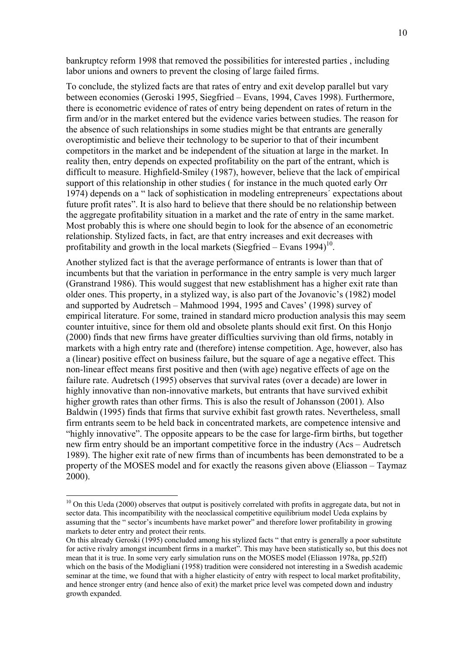bankruptcy reform 1998 that removed the possibilities for interested parties , including labor unions and owners to prevent the closing of large failed firms.

To conclude, the stylized facts are that rates of entry and exit develop parallel but vary between economies (Geroski 1995, Siegfried – Evans, 1994, Caves 1998). Furthermore, there is econometric evidence of rates of entry being dependent on rates of return in the firm and/or in the market entered but the evidence varies between studies. The reason for the absence of such relationships in some studies might be that entrants are generally overoptimistic and believe their technology to be superior to that of their incumbent competitors in the market and be independent of the situation at large in the market. In reality then, entry depends on expected profitability on the part of the entrant, which is difficult to measure. Highfield-Smiley (1987), however, believe that the lack of empirical support of this relationship in other studies ( for instance in the much quoted early Orr 1974) depends on a " lack of sophistication in modeling entrepreneurs´ expectations about future profit rates". It is also hard to believe that there should be no relationship between the aggregate profitability situation in a market and the rate of entry in the same market. Most probably this is where one should begin to look for the absence of an econometric relationship. Stylized facts, in fact, are that entry increases and exit decreases with profitability and growth in the local markets (Siegfried – Evans  $1994$ )<sup>10</sup>.

Another stylized fact is that the average performance of entrants is lower than that of incumbents but that the variation in performance in the entry sample is very much larger (Granstrand 1986). This would suggest that new establishment has a higher exit rate than older ones. This property, in a stylized way, is also part of the Jovanovic's (1982) model and supported by Audretsch – Mahmood 1994, 1995 and Caves' (1998) survey of empirical literature. For some, trained in standard micro production analysis this may seem counter intuitive, since for them old and obsolete plants should exit first. On this Honjo (2000) finds that new firms have greater difficulties surviving than old firms, notably in markets with a high entry rate and (therefore) intense competition. Age, however, also has a (linear) positive effect on business failure, but the square of age a negative effect. This non-linear effect means first positive and then (with age) negative effects of age on the failure rate. Audretsch (1995) observes that survival rates (over a decade) are lower in highly innovative than non-innovative markets, but entrants that have survived exhibit higher growth rates than other firms. This is also the result of Johansson (2001). Also Baldwin (1995) finds that firms that survive exhibit fast growth rates. Nevertheless, small firm entrants seem to be held back in concentrated markets, are competence intensive and "highly innovative". The opposite appears to be the case for large-firm births, but together new firm entry should be an important competitive force in the industry (Acs – Audretsch 1989). The higher exit rate of new firms than of incumbents has been demonstrated to be a property of the MOSES model and for exactly the reasons given above (Eliasson – Taymaz 2000).

 $\overline{a}$ 

<span id="page-10-0"></span> $10$  On this Ueda (2000) observes that output is positively correlated with profits in aggregate data, but not in sector data. This incompatibility with the neoclassical competitive equilibrium model Ueda explains by assuming that the " sector's incumbents have market power" and therefore lower profitability in growing markets to deter entry and protect their rents.

On this already Geroski (1995) concluded among his stylized facts " that entry is generally a poor substitute for active rivalry amongst incumbent firms in a market". This may have been statistically so, but this does not mean that it is true. In some very early simulation runs on the MOSES model (Eliasson 1978a, pp.52ff) which on the basis of the Modigliani (1958) tradition were considered not interesting in a Swedish academic seminar at the time, we found that with a higher elasticity of entry with respect to local market profitability, and hence stronger entry (and hence also of exit) the market price level was competed down and industry growth expanded.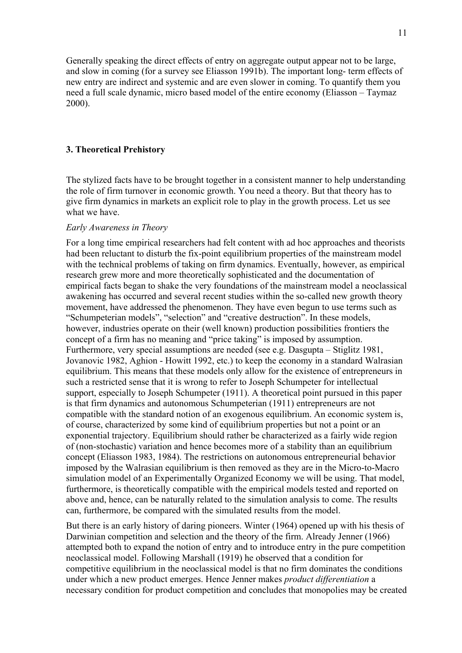Generally speaking the direct effects of entry on aggregate output appear not to be large, and slow in coming (for a survey see Eliasson 1991b). The important long- term effects of new entry are indirect and systemic and are even slower in coming. To quantify them you need a full scale dynamic, micro based model of the entire economy (Eliasson – Taymaz 2000).

#### **3. Theoretical Prehistory**

The stylized facts have to be brought together in a consistent manner to help understanding the role of firm turnover in economic growth. You need a theory. But that theory has to give firm dynamics in markets an explicit role to play in the growth process. Let us see what we have.

#### *Early Awareness in Theory*

For a long time empirical researchers had felt content with ad hoc approaches and theorists had been reluctant to disturb the fix-point equilibrium properties of the mainstream model with the technical problems of taking on firm dynamics. Eventually, however, as empirical research grew more and more theoretically sophisticated and the documentation of empirical facts began to shake the very foundations of the mainstream model a neoclassical awakening has occurred and several recent studies within the so-called new growth theory movement, have addressed the phenomenon. They have even begun to use terms such as "Schumpeterian models", "selection" and "creative destruction". In these models, however, industries operate on their (well known) production possibilities frontiers the concept of a firm has no meaning and "price taking" is imposed by assumption. Furthermore, very special assumptions are needed (see e.g. Dasgupta – Stiglitz 1981, Jovanovic 1982, Aghion - Howitt 1992, etc.) to keep the economy in a standard Walrasian equilibrium. This means that these models only allow for the existence of entrepreneurs in such a restricted sense that it is wrong to refer to Joseph Schumpeter for intellectual support, especially to Joseph Schumpeter (1911). A theoretical point pursued in this paper is that firm dynamics and autonomous Schumpeterian (1911) entrepreneurs are not compatible with the standard notion of an exogenous equilibrium. An economic system is, of course, characterized by some kind of equilibrium properties but not a point or an exponential trajectory. Equilibrium should rather be characterized as a fairly wide region of (non-stochastic) variation and hence becomes more of a stability than an equilibrium concept (Eliasson 1983, 1984). The restrictions on autonomous entrepreneurial behavior imposed by the Walrasian equilibrium is then removed as they are in the Micro-to-Macro simulation model of an Experimentally Organized Economy we will be using. That model, furthermore, is theoretically compatible with the empirical models tested and reported on above and, hence, can be naturally related to the simulation analysis to come. The results can, furthermore, be compared with the simulated results from the model.

But there is an early history of daring pioneers. Winter (1964) opened up with his thesis of Darwinian competition and selection and the theory of the firm. Already Jenner (1966) attempted both to expand the notion of entry and to introduce entry in the pure competition neoclassical model. Following Marshall (1919) he observed that a condition for competitive equilibrium in the neoclassical model is that no firm dominates the conditions under which a new product emerges. Hence Jenner makes *product differentiation* a necessary condition for product competition and concludes that monopolies may be created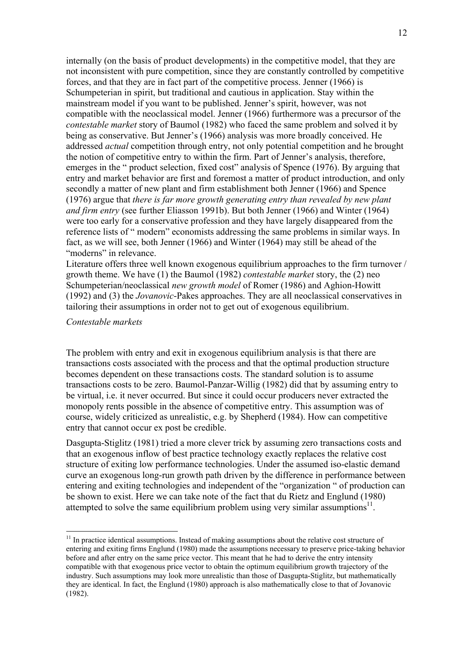internally (on the basis of product developments) in the competitive model, that they are not inconsistent with pure competition, since they are constantly controlled by competitive forces, and that they are in fact part of the competitive process. Jenner (1966) is Schumpeterian in spirit, but traditional and cautious in application. Stay within the mainstream model if you want to be published. Jenner's spirit, however, was not compatible with the neoclassical model. Jenner (1966) furthermore was a precursor of the *contestable market* story of Baumol (1982) who faced the same problem and solved it by being as conservative. But Jenner's (1966) analysis was more broadly conceived. He addressed *actual* competition through entry, not only potential competition and he brought the notion of competitive entry to within the firm. Part of Jenner's analysis, therefore, emerges in the " product selection, fixed cost" analysis of Spence (1976). By arguing that entry and market behavior are first and foremost a matter of product introduction, and only secondly a matter of new plant and firm establishment both Jenner (1966) and Spence (1976) argue that *there is far more growth generating entry than revealed by new plant and firm entry* (see further Eliasson 1991b). But both Jenner (1966) and Winter (1964) were too early for a conservative profession and they have largely disappeared from the reference lists of " modern" economists addressing the same problems in similar ways. In fact, as we will see, both Jenner (1966) and Winter (1964) may still be ahead of the "moderns" in relevance.

Literature offers three well known exogenous equilibrium approaches to the firm turnover / growth theme. We have (1) the Baumol (1982) *contestable market* story, the (2) neo Schumpeterian/neoclassical *new growth model* of Romer (1986) and Aghion-Howitt (1992) and (3) the *Jovanovic*-Pakes approaches. They are all neoclassical conservatives in tailoring their assumptions in order not to get out of exogenous equilibrium.

#### *Contestable markets*

 $\overline{a}$ 

The problem with entry and exit in exogenous equilibrium analysis is that there are transactions costs associated with the process and that the optimal production structure becomes dependent on these transactions costs. The standard solution is to assume transactions costs to be zero. Baumol-Panzar-Willig (1982) did that by assuming entry to be virtual, i.e. it never occurred. But since it could occur producers never extracted the monopoly rents possible in the absence of competitive entry. This assumption was of course, widely criticized as unrealistic, e.g. by Shepherd (1984). How can competitive entry that cannot occur ex post be credible.

Dasgupta-Stiglitz (1981) tried a more clever trick by assuming zero transactions costs and that an exogenous inflow of best practice technology exactly replaces the relative cost structure of exiting low performance technologies. Under the assumed iso-elastic demand curve an exogenous long-run growth path driven by the difference in performance between entering and exiting technologies and independent of the "organization " of production can be shown to exist. Here we can take note of the fact that du Rietz and Englund (1980) attempted to solve the same equilibrium problem using very similar assumptions<sup>11</sup>.

<span id="page-12-0"></span> $11$  In practice identical assumptions. Instead of making assumptions about the relative cost structure of entering and exiting firms Englund (1980) made the assumptions necessary to preserve price-taking behavior before and after entry on the same price vector. This meant that he had to derive the entry intensity compatible with that exogenous price vector to obtain the optimum equilibrium growth trajectory of the industry. Such assumptions may look more unrealistic than those of Dasgupta-Stiglitz, but mathematically they are identical. In fact, the Englund (1980) approach is also mathematically close to that of Jovanovic (1982).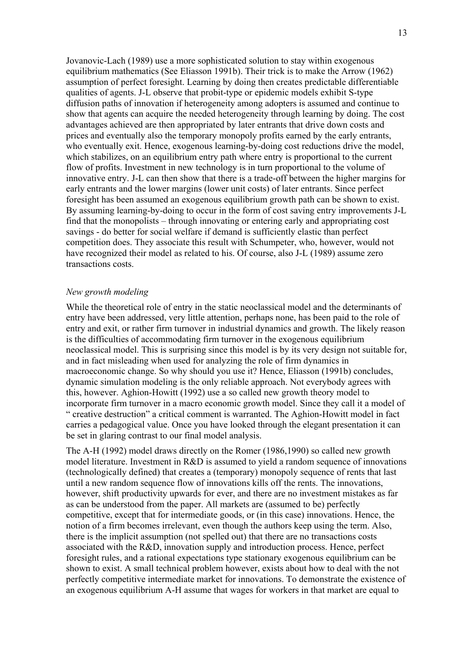Jovanovic-Lach (1989) use a more sophisticated solution to stay within exogenous equilibrium mathematics (See Eliasson 1991b). Their trick is to make the Arrow (1962) assumption of perfect foresight. Learning by doing then creates predictable differentiable qualities of agents. J-L observe that probit-type or epidemic models exhibit S-type diffusion paths of innovation if heterogeneity among adopters is assumed and continue to show that agents can acquire the needed heterogeneity through learning by doing. The cost advantages achieved are then appropriated by later entrants that drive down costs and prices and eventually also the temporary monopoly profits earned by the early entrants, who eventually exit. Hence, exogenous learning-by-doing cost reductions drive the model, which stabilizes, on an equilibrium entry path where entry is proportional to the current flow of profits. Investment in new technology is in turn proportional to the volume of innovative entry. J-L can then show that there is a trade-off between the higher margins for early entrants and the lower margins (lower unit costs) of later entrants. Since perfect foresight has been assumed an exogenous equilibrium growth path can be shown to exist. By assuming learning-by-doing to occur in the form of cost saving entry improvements J-L find that the monopolists – through innovating or entering early and appropriating cost savings - do better for social welfare if demand is sufficiently elastic than perfect competition does. They associate this result with Schumpeter, who, however, would not have recognized their model as related to his. Of course, also J-L (1989) assume zero transactions costs.

#### *New growth modeling*

While the theoretical role of entry in the static neoclassical model and the determinants of entry have been addressed, very little attention, perhaps none, has been paid to the role of entry and exit, or rather firm turnover in industrial dynamics and growth. The likely reason is the difficulties of accommodating firm turnover in the exogenous equilibrium neoclassical model. This is surprising since this model is by its very design not suitable for, and in fact misleading when used for analyzing the role of firm dynamics in macroeconomic change. So why should you use it? Hence, Eliasson (1991b) concludes, dynamic simulation modeling is the only reliable approach. Not everybody agrees with this, however. Aghion-Howitt (1992) use a so called new growth theory model to incorporate firm turnover in a macro economic growth model. Since they call it a model of " creative destruction" a critical comment is warranted. The Aghion-Howitt model in fact carries a pedagogical value. Once you have looked through the elegant presentation it can be set in glaring contrast to our final model analysis.

The A-H (1992) model draws directly on the Romer (1986,1990) so called new growth model literature. Investment in R&D is assumed to yield a random sequence of innovations (technologically defined) that creates a (temporary) monopoly sequence of rents that last until a new random sequence flow of innovations kills off the rents. The innovations, however, shift productivity upwards for ever, and there are no investment mistakes as far as can be understood from the paper. All markets are (assumed to be) perfectly competitive, except that for intermediate goods, or (in this case) innovations. Hence, the notion of a firm becomes irrelevant, even though the authors keep using the term. Also, there is the implicit assumption (not spelled out) that there are no transactions costs associated with the R&D, innovation supply and introduction process. Hence, perfect foresight rules, and a rational expectations type stationary exogenous equilibrium can be shown to exist. A small technical problem however, exists about how to deal with the not perfectly competitive intermediate market for innovations. To demonstrate the existence of an exogenous equilibrium A-H assume that wages for workers in that market are equal to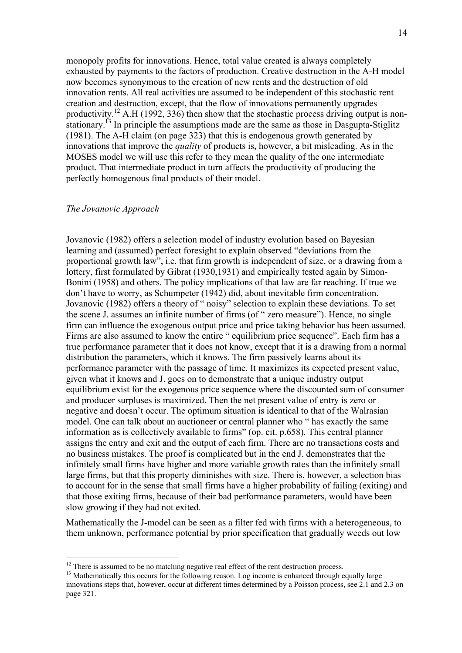monopoly profits for innovations. Hence, total value created is always completely exhausted by payments to the factors of production. Creative destruction in the A-H model now becomes synonymous to the creation of new rents and the destruction of old innovation rents. All real activities are assumed to be independent of this stochastic rent creation and destruction, except, that the flow of innovations permanently upgrades productivity.<sup>12</sup> A.H (1992, 336) then show that the stochastic process driving output is nonstationary.<sup>13</sup> In principle the assumptions made are the same as those in Dasgupta-Stiglitz (1981). The A-H claim (on page 323) that this is endogenous growth generated by innovations that improve the *quality* of products is, however, a bit misleading. As in the MOSES model we will use this refer to they mean the quality of the one intermediate product. That intermediate product in turn affects the productivity of producing the perfectly homogenous final products of their model.

#### *The Jovanovic Approach*

 $\overline{a}$ 

Jovanovic (1982) offers a selection model of industry evolution based on Bayesian learning and (assumed) perfect foresight to explain observed "deviations from the proportional growth law", i.e. that firm growth is independent of size, or a drawing from a lottery, first formulated by Gibrat (1930,1931) and empirically tested again by Simon-Bonini (1958) and others. The policy implications of that law are far reaching. If true we don't have to worry, as Schumpeter (1942) did, about inevitable firm concentration. Jovanovic (1982) offers a theory of " noisy" selection to explain these deviations. To set the scene J. assumes an infinite number of firms (of " zero measure"). Hence, no single firm can influence the exogenous output price and price taking behavior has been assumed. Firms are also assumed to know the entire " equilibrium price sequence". Each firm has a true performance parameter that it does not know, except that it is a drawing from a normal distribution the parameters, which it knows. The firm passively learns about its performance parameter with the passage of time. It maximizes its expected present value, given what it knows and J. goes on to demonstrate that a unique industry output equilibrium exist for the exogenous price sequence where the discounted sum of consumer and producer surpluses is maximized. Then the net present value of entry is zero or negative and doesn't occur. The optimum situation is identical to that of the Walrasian model. One can talk about an auctioneer or central planner who " has exactly the same information as is collectively available to firms" (op. cit. p.658). This central planner assigns the entry and exit and the output of each firm. There are no transactions costs and no business mistakes. The proof is complicated but in the end J. demonstrates that the infinitely small firms have higher and more variable growth rates than the infinitely small large firms, but that this property diminishes with size. There is, however, a selection bias to account for in the sense that small firms have a higher probability of failing (exiting) and that those exiting firms, because of their bad performance parameters, would have been slow growing if they had not exited.

Mathematically the J-model can be seen as a filter fed with firms with a heterogeneous, to them unknown, performance potential by prior specification that gradually weeds out low

<span id="page-14-0"></span> $12$  There is assumed to be no matching negative real effect of the rent destruction process.

<span id="page-14-1"></span><sup>&</sup>lt;sup>13</sup> Mathematically this occurs for the following reason. Log income is enhanced through equally large innovations steps that, however, occur at different times determined by a Poisson process, see 2.1 and 2.3 on page 321.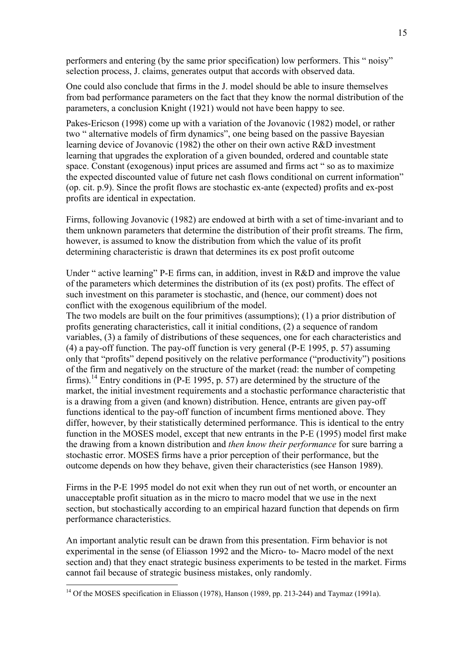performers and entering (by the same prior specification) low performers. This " noisy" selection process, J. claims, generates output that accords with observed data.

One could also conclude that firms in the J. model should be able to insure themselves from bad performance parameters on the fact that they know the normal distribution of the parameters, a conclusion Knight (1921) would not have been happy to see.

Pakes-Ericson (1998) come up with a variation of the Jovanovic (1982) model, or rather two " alternative models of firm dynamics", one being based on the passive Bayesian learning device of Jovanovic (1982) the other on their own active R&D investment learning that upgrades the exploration of a given bounded, ordered and countable state space. Constant (exogenous) input prices are assumed and firms act " so as to maximize the expected discounted value of future net cash flows conditional on current information" (op. cit. p.9). Since the profit flows are stochastic ex-ante (expected) profits and ex-post profits are identical in expectation.

Firms, following Jovanovic (1982) are endowed at birth with a set of time-invariant and to them unknown parameters that determine the distribution of their profit streams. The firm, however, is assumed to know the distribution from which the value of its profit determining characteristic is drawn that determines its ex post profit outcome

Under " active learning" P-E firms can, in addition, invest in R&D and improve the value of the parameters which determines the distribution of its (ex post) profits. The effect of such investment on this parameter is stochastic, and (hence, our comment) does not conflict with the exogenous equilibrium of the model.

The two models are built on the four primitives (assumptions); (1) a prior distribution of profits generating characteristics, call it initial conditions, (2) a sequence of random variables, (3) a family of distributions of these sequences, one for each characteristics and (4) a pay-off function. The pay-off function is very general (P-E 1995, p. 57) assuming only that "profits" depend positively on the relative performance ("productivity") positions of the firm and negatively on the structure of the market (read: the number of competing firms).<sup>14</sup> Entry conditions in (P-E 1995, p. 57) are determined by the structure of the market, the initial investment requirements and a stochastic performance characteristic that is a drawing from a given (and known) distribution. Hence, entrants are given pay-off functions identical to the pay-off function of incumbent firms mentioned above. They differ, however, by their statistically determined performance. This is identical to the entry function in the MOSES model, except that new entrants in the P-E (1995) model first make the drawing from a known distribution and *then know their performance* for sure barring a stochastic error. MOSES firms have a prior perception of their performance, but the outcome depends on how they behave, given their characteristics (see Hanson 1989).

Firms in the P-E 1995 model do not exit when they run out of net worth, or encounter an unacceptable profit situation as in the micro to macro model that we use in the next section, but stochastically according to an empirical hazard function that depends on firm performance characteristics.

An important analytic result can be drawn from this presentation. Firm behavior is not experimental in the sense (of Eliasson 1992 and the Micro- to- Macro model of the next section and) that they enact strategic business experiments to be tested in the market. Firms cannot fail because of strategic business mistakes, only randomly.

 $\overline{a}$ 

<span id="page-15-0"></span><sup>&</sup>lt;sup>14</sup> Of the MOSES specification in Eliasson (1978), Hanson (1989, pp. 213-244) and Taymaz (1991a).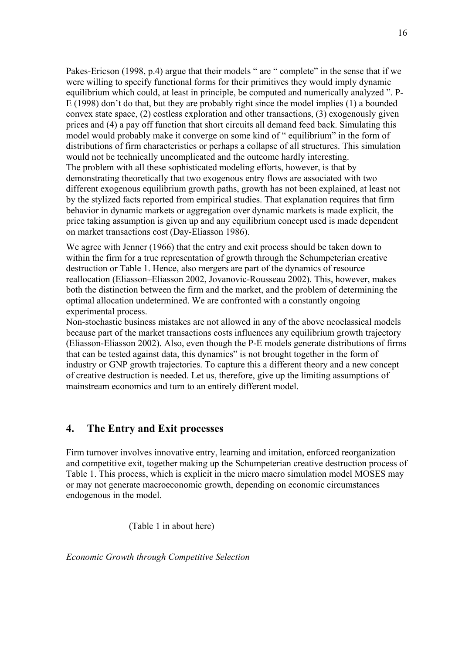Pakes-Ericson (1998, p.4) argue that their models " are " complete" in the sense that if we were willing to specify functional forms for their primitives they would imply dynamic equilibrium which could, at least in principle, be computed and numerically analyzed ". P-E (1998) don't do that, but they are probably right since the model implies (1) a bounded convex state space, (2) costless exploration and other transactions, (3) exogenously given prices and (4) a pay off function that short circuits all demand feed back. Simulating this model would probably make it converge on some kind of " equilibrium" in the form of distributions of firm characteristics or perhaps a collapse of all structures. This simulation would not be technically uncomplicated and the outcome hardly interesting. The problem with all these sophisticated modeling efforts, however, is that by demonstrating theoretically that two exogenous entry flows are associated with two different exogenous equilibrium growth paths, growth has not been explained, at least not by the stylized facts reported from empirical studies. That explanation requires that firm behavior in dynamic markets or aggregation over dynamic markets is made explicit, the price taking assumption is given up and any equilibrium concept used is made dependent on market transactions cost (Day-Eliasson 1986).

We agree with Jenner (1966) that the entry and exit process should be taken down to within the firm for a true representation of growth through the Schumpeterian creative destruction or Table 1. Hence, also mergers are part of the dynamics of resource reallocation (Eliasson–Eliasson 2002, Jovanovic-Rousseau 2002). This, however, makes both the distinction between the firm and the market, and the problem of determining the optimal allocation undetermined. We are confronted with a constantly ongoing experimental process.

Non-stochastic business mistakes are not allowed in any of the above neoclassical models because part of the market transactions costs influences any equilibrium growth trajectory (Eliasson-Eliasson 2002). Also, even though the P-E models generate distributions of firms that can be tested against data, this dynamics" is not brought together in the form of industry or GNP growth trajectories. To capture this a different theory and a new concept of creative destruction is needed. Let us, therefore, give up the limiting assumptions of mainstream economics and turn to an entirely different model.

## **4. The Entry and Exit processes**

Firm turnover involves innovative entry, learning and imitation, enforced reorganization and competitive exit, together making up the Schumpeterian creative destruction process of Table 1. This process, which is explicit in the micro macro simulation model MOSES may or may not generate macroeconomic growth, depending on economic circumstances endogenous in the model.

(Table 1 in about here)

*Economic Growth through Competitive Selection*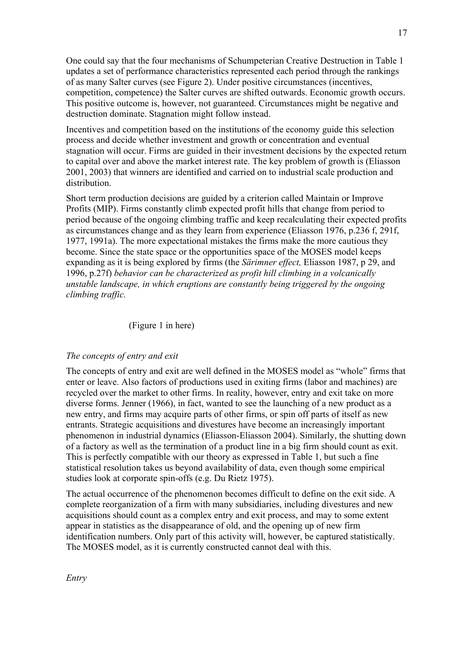One could say that the four mechanisms of Schumpeterian Creative Destruction in Table 1 updates a set of performance characteristics represented each period through the rankings of as many Salter curves (see Figure 2). Under positive circumstances (incentives, competition, competence) the Salter curves are shifted outwards. Economic growth occurs. This positive outcome is, however, not guaranteed. Circumstances might be negative and destruction dominate. Stagnation might follow instead.

Incentives and competition based on the institutions of the economy guide this selection process and decide whether investment and growth or concentration and eventual stagnation will occur. Firms are guided in their investment decisions by the expected return to capital over and above the market interest rate. The key problem of growth is (Eliasson 2001, 2003) that winners are identified and carried on to industrial scale production and distribution.

Short term production decisions are guided by a criterion called Maintain or Improve Profits (MIP). Firms constantly climb expected profit hills that change from period to period because of the ongoing climbing traffic and keep recalculating their expected profits as circumstances change and as they learn from experience (Eliasson 1976, p.236 f, 291f, 1977, 1991a). The more expectational mistakes the firms make the more cautious they become. Since the state space or the opportunities space of the MOSES model keeps expanding as it is being explored by firms (the *Särimner effect,* Eliasson 1987, p 29, and 1996, p.27f) *behavior can be characterized as profit hill climbing in a volcanically unstable landscape, in which eruptions are constantly being triggered by the ongoing climbing traffic.*

#### (Figure 1 in here)

#### *The concepts of entry and exit*

The concepts of entry and exit are well defined in the MOSES model as "whole" firms that enter or leave. Also factors of productions used in exiting firms (labor and machines) are recycled over the market to other firms. In reality, however, entry and exit take on more diverse forms. Jenner (1966), in fact, wanted to see the launching of a new product as a new entry, and firms may acquire parts of other firms, or spin off parts of itself as new entrants. Strategic acquisitions and divestures have become an increasingly important phenomenon in industrial dynamics (Eliasson-Eliasson 2004). Similarly, the shutting down of a factory as well as the termination of a product line in a big firm should count as exit. This is perfectly compatible with our theory as expressed in Table 1, but such a fine statistical resolution takes us beyond availability of data, even though some empirical studies look at corporate spin-offs (e.g. Du Rietz 1975).

The actual occurrence of the phenomenon becomes difficult to define on the exit side. A complete reorganization of a firm with many subsidiaries, including divestures and new acquisitions should count as a complex entry and exit process, and may to some extent appear in statistics as the disappearance of old, and the opening up of new firm identification numbers. Only part of this activity will, however, be captured statistically. The MOSES model, as it is currently constructed cannot deal with this.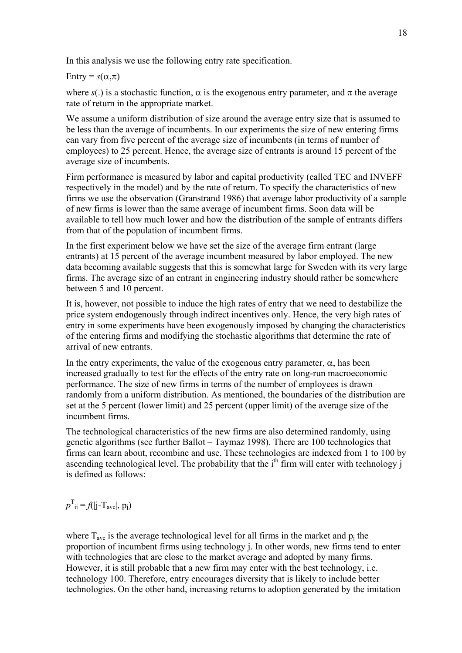In this analysis we use the following entry rate specification.

Entry =  $s(\alpha, \pi)$ 

where  $s(.)$  is a stochastic function,  $\alpha$  is the exogenous entry parameter, and  $\pi$  the average rate of return in the appropriate market.

We assume a uniform distribution of size around the average entry size that is assumed to be less than the average of incumbents. In our experiments the size of new entering firms can vary from five percent of the average size of incumbents (in terms of number of employees) to 25 percent. Hence, the average size of entrants is around 15 percent of the average size of incumbents.

Firm performance is measured by labor and capital productivity (called TEC and INVEFF respectively in the model) and by the rate of return. To specify the characteristics of new firms we use the observation (Granstrand 1986) that average labor productivity of a sample of new firms is lower than the same average of incumbent firms. Soon data will be available to tell how much lower and how the distribution of the sample of entrants differs from that of the population of incumbent firms.

In the first experiment below we have set the size of the average firm entrant (large entrants) at 15 percent of the average incumbent measured by labor employed. The new data becoming available suggests that this is somewhat large for Sweden with its very large firms. The average size of an entrant in engineering industry should rather be somewhere between 5 and 10 percent.

It is, however, not possible to induce the high rates of entry that we need to destabilize the price system endogenously through indirect incentives only. Hence, the very high rates of entry in some experiments have been exogenously imposed by changing the characteristics of the entering firms and modifying the stochastic algorithms that determine the rate of arrival of new entrants.

In the entry experiments, the value of the exogenous entry parameter,  $\alpha$ , has been increased gradually to test for the effects of the entry rate on long-run macroeconomic performance. The size of new firms in terms of the number of employees is drawn randomly from a uniform distribution. As mentioned, the boundaries of the distribution are set at the 5 percent (lower limit) and 25 percent (upper limit) of the average size of the incumbent firms.

The technological characteristics of the new firms are also determined randomly, using genetic algorithms (see further Ballot – Taymaz 1998). There are 100 technologies that firms can learn about, recombine and use. These technologies are indexed from 1 to 100 by ascending technological level. The probability that the  $i<sup>th</sup>$  firm will enter with technology  $i$ is defined as follows:

$$
p^{\mathrm{T}}_{ij} = f(|j\text{-}T_{ave}|, p_j)
$$

where  $T_{\text{ave}}$  is the average technological level for all firms in the market and  $p_i$  the proportion of incumbent firms using technology j. In other words, new firms tend to enter with technologies that are close to the market average and adopted by many firms. However, it is still probable that a new firm may enter with the best technology, i.e. technology 100. Therefore, entry encourages diversity that is likely to include better technologies. On the other hand, increasing returns to adoption generated by the imitation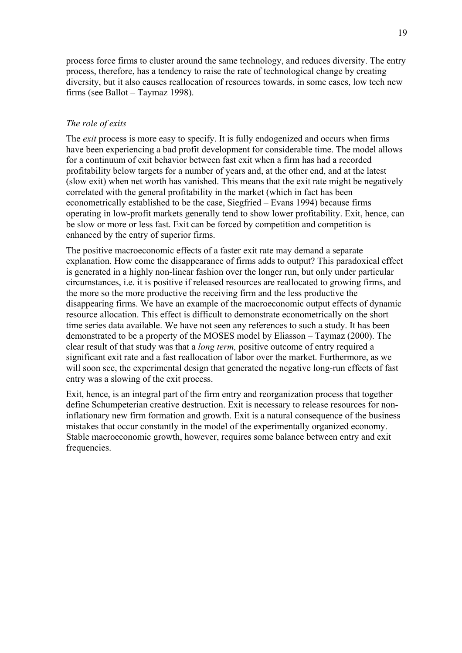process force firms to cluster around the same technology, and reduces diversity. The entry process, therefore, has a tendency to raise the rate of technological change by creating diversity, but it also causes reallocation of resources towards, in some cases, low tech new firms (see Ballot – Taymaz 1998).

### *The role of exits*

The *exit* process is more easy to specify. It is fully endogenized and occurs when firms have been experiencing a bad profit development for considerable time. The model allows for a continuum of exit behavior between fast exit when a firm has had a recorded profitability below targets for a number of years and, at the other end, and at the latest (slow exit) when net worth has vanished. This means that the exit rate might be negatively correlated with the general profitability in the market (which in fact has been econometrically established to be the case, Siegfried – Evans 1994) because firms operating in low-profit markets generally tend to show lower profitability. Exit, hence, can be slow or more or less fast. Exit can be forced by competition and competition is enhanced by the entry of superior firms.

The positive macroeconomic effects of a faster exit rate may demand a separate explanation. How come the disappearance of firms adds to output? This paradoxical effect is generated in a highly non-linear fashion over the longer run, but only under particular circumstances, i.e. it is positive if released resources are reallocated to growing firms, and the more so the more productive the receiving firm and the less productive the disappearing firms. We have an example of the macroeconomic output effects of dynamic resource allocation. This effect is difficult to demonstrate econometrically on the short time series data available. We have not seen any references to such a study. It has been demonstrated to be a property of the MOSES model by Eliasson – Taymaz (2000). The clear result of that study was that a *long term,* positive outcome of entry required a significant exit rate and a fast reallocation of labor over the market. Furthermore, as we will soon see, the experimental design that generated the negative long-run effects of fast entry was a slowing of the exit process.

Exit, hence, is an integral part of the firm entry and reorganization process that together define Schumpeterian creative destruction. Exit is necessary to release resources for noninflationary new firm formation and growth. Exit is a natural consequence of the business mistakes that occur constantly in the model of the experimentally organized economy. Stable macroeconomic growth, however, requires some balance between entry and exit frequencies.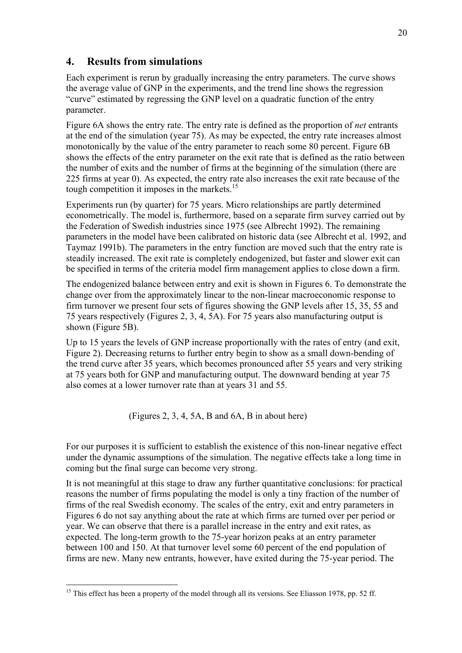## **4. Results from simulations**

Each experiment is rerun by gradually increasing the entry parameters. The curve shows the average value of GNP in the experiments, and the trend line shows the regression "curve" estimated by regressing the GNP level on a quadratic function of the entry parameter.

Figure 6A shows the entry rate. The entry rate is defined as the proportion of *net* entrants at the end of the simulation (year 75). As may be expected, the entry rate increases almost monotonically by the value of the entry parameter to reach some 80 percent. Figure 6B shows the effects of the entry parameter on the exit rate that is defined as the ratio between the number of exits and the number of firms at the beginning of the simulation (there are 225 firms at year 0). As expected, the entry rate also increases the exit rate because of the tough competition it imposes in the markets.<sup>[15](#page-20-0)</sup>

Experiments run (by quarter) for 75 years. Micro relationships are partly determined econometrically. The model is, furthermore, based on a separate firm survey carried out by the Federation of Swedish industries since 1975 (see Albrecht 1992). The remaining parameters in the model have been calibrated on historic data (see Albrecht et al. 1992, and Taymaz 1991b). The parameters in the entry function are moved such that the entry rate is steadily increased. The exit rate is completely endogenized, but faster and slower exit can be specified in terms of the criteria model firm management applies to close down a firm.

The endogenized balance between entry and exit is shown in Figures 6. To demonstrate the change over from the approximately linear to the non-linear macroeconomic response to firm turnover we present four sets of figures showing the GNP levels after 15, 35, 55 and 75 years respectively (Figures 2, 3, 4, 5A). For 75 years also manufacturing output is shown (Figure 5B).

Up to 15 years the levels of GNP increase proportionally with the rates of entry (and exit, Figure 2). Decreasing returns to further entry begin to show as a small down-bending of the trend curve after 35 years, which becomes pronounced after 55 years and very striking at 75 years both for GNP and manufacturing output. The downward bending at year 75 also comes at a lower turnover rate than at years 31 and 55.

(Figures 2, 3, 4, 5A, B and 6A, B in about here)

For our purposes it is sufficient to establish the existence of this non-linear negative effect under the dynamic assumptions of the simulation. The negative effects take a long time in coming but the final surge can become very strong.

It is not meaningful at this stage to draw any further quantitative conclusions: for practical reasons the number of firms populating the model is only a tiny fraction of the number of firms of the real Swedish economy. The scales of the entry, exit and entry parameters in Figures 6 do not say anything about the rate at which firms are turned over per period or year. We can observe that there is a parallel increase in the entry and exit rates, as expected. The long-term growth to the 75-year horizon peaks at an entry parameter between 100 and 150. At that turnover level some 60 percent of the end population of firms are new. Many new entrants, however, have exited during the 75-year period. The

<span id="page-20-0"></span> $\overline{a}$ <sup>15</sup> This effect has been a property of the model through all its versions. See Eliasson 1978, pp. 52 ff.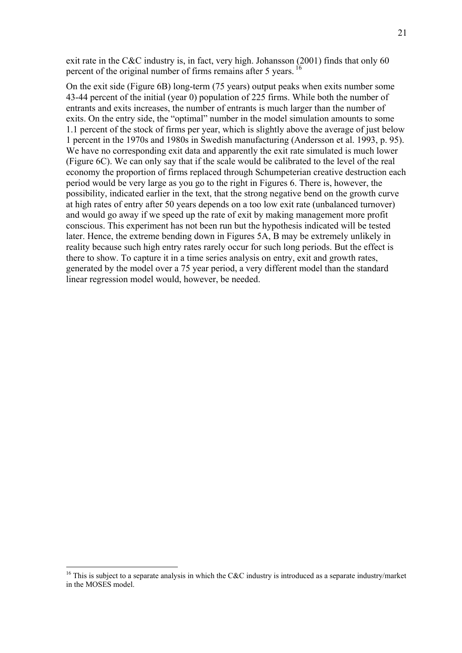exit rate in the C&C industry is, in fact, very high. Johansson (2001) finds that only 60 percent of the original number of firms remains after 5 years. <sup>16</sup>

On the exit side (Figure 6B) long-term (75 years) output peaks when exits number some 43-44 percent of the initial (year 0) population of 225 firms. While both the number of entrants and exits increases, the number of entrants is much larger than the number of exits. On the entry side, the "optimal" number in the model simulation amounts to some 1.1 percent of the stock of firms per year, which is slightly above the average of just below 1 percent in the 1970s and 1980s in Swedish manufacturing (Andersson et al. 1993, p. 95). We have no corresponding exit data and apparently the exit rate simulated is much lower (Figure 6C). We can only say that if the scale would be calibrated to the level of the real economy the proportion of firms replaced through Schumpeterian creative destruction each period would be very large as you go to the right in Figures 6. There is, however, the possibility, indicated earlier in the text, that the strong negative bend on the growth curve at high rates of entry after 50 years depends on a too low exit rate (unbalanced turnover) and would go away if we speed up the rate of exit by making management more profit conscious. This experiment has not been run but the hypothesis indicated will be tested later. Hence, the extreme bending down in Figures 5A, B may be extremely unlikely in reality because such high entry rates rarely occur for such long periods. But the effect is there to show. To capture it in a time series analysis on entry, exit and growth rates, generated by the model over a 75 year period, a very different model than the standard linear regression model would, however, be needed.

 $\overline{a}$ 

<span id="page-21-0"></span><sup>&</sup>lt;sup>16</sup> This is subject to a separate analysis in which the C&C industry is introduced as a separate industry/market in the MOSES model.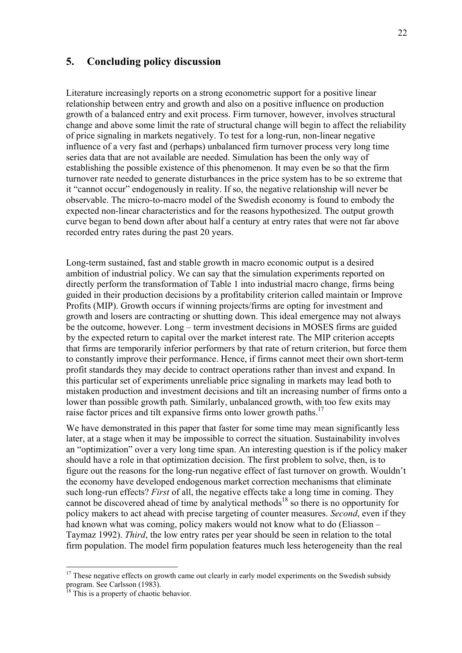## **5. Concluding policy discussion**

Literature increasingly reports on a strong econometric support for a positive linear relationship between entry and growth and also on a positive influence on production growth of a balanced entry and exit process. Firm turnover, however, involves structural change and above some limit the rate of structural change will begin to affect the reliability of price signaling in markets negatively. To test for a long-run, non-linear negative influence of a very fast and (perhaps) unbalanced firm turnover process very long time series data that are not available are needed. Simulation has been the only way of establishing the possible existence of this phenomenon. It may even be so that the firm turnover rate needed to generate disturbances in the price system has to be so extreme that it "cannot occur" endogenously in reality. If so, the negative relationship will never be observable. The micro-to-macro model of the Swedish economy is found to embody the expected non-linear characteristics and for the reasons hypothesized. The output growth curve began to bend down after about half a century at entry rates that were not far above recorded entry rates during the past 20 years.

Long-term sustained, fast and stable growth in macro economic output is a desired ambition of industrial policy. We can say that the simulation experiments reported on directly perform the transformation of Table 1 into industrial macro change, firms being guided in their production decisions by a profitability criterion called maintain or Improve Profits (MIP). Growth occurs if winning projects/firms are opting for investment and growth and losers are contracting or shutting down. This ideal emergence may not always be the outcome, however. Long – term investment decisions in MOSES firms are guided by the expected return to capital over the market interest rate. The MIP criterion accepts that firms are temporarily inferior performers by that rate of return criterion, but force them to constantly improve their performance. Hence, if firms cannot meet their own short-term profit standards they may decide to contract operations rather than invest and expand. In this particular set of experiments unreliable price signaling in markets may lead both to mistaken production and investment decisions and tilt an increasing number of firms onto a lower than possible growth path. Similarly, unbalanced growth, with too few exits may raise factor prices and tilt expansive firms onto lower growth paths.<sup>[17](#page-22-0)</sup>

We have demonstrated in this paper that faster for some time may mean significantly less later, at a stage when it may be impossible to correct the situation. Sustainability involves an "optimization" over a very long time span. An interesting question is if the policy maker should have a role in that optimization decision. The first problem to solve, then, is to figure out the reasons for the long-run negative effect of fast turnover on growth. Wouldn't the economy have developed endogenous market correction mechanisms that eliminate such long-run effects? *First* of all, the negative effects take a long time in coming. They cannot be discovered ahead of time by analytical methods<sup>18</sup> so there is no opportunity for policy makers to act ahead with precise targeting of counter measures. *Second*, even if they had known what was coming, policy makers would not know what to do (Eliasson – Taymaz 1992). *Third*, the low entry rates per year should be seen in relation to the total firm population. The model firm population features much less heterogeneity than the real

 $\overline{a}$ 

<span id="page-22-0"></span> $17$  These negative effects on growth came out clearly in early model experiments on the Swedish subsidy program. See Carlsson (1983).

<span id="page-22-1"></span><sup>&</sup>lt;sup>18</sup> This is a property of chaotic behavior.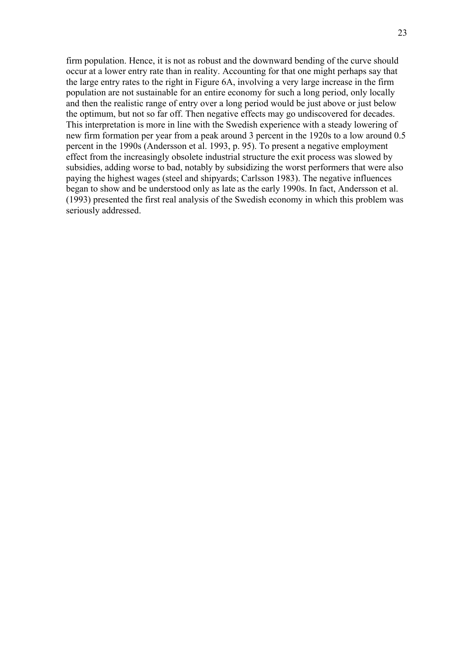firm population. Hence, it is not as robust and the downward bending of the curve should occur at a lower entry rate than in reality. Accounting for that one might perhaps say that the large entry rates to the right in Figure 6A, involving a very large increase in the firm population are not sustainable for an entire economy for such a long period, only locally and then the realistic range of entry over a long period would be just above or just below the optimum, but not so far off. Then negative effects may go undiscovered for decades. This interpretation is more in line with the Swedish experience with a steady lowering of new firm formation per year from a peak around 3 percent in the 1920s to a low around 0.5 percent in the 1990s (Andersson et al. 1993, p. 95). To present a negative employment effect from the increasingly obsolete industrial structure the exit process was slowed by subsidies, adding worse to bad, notably by subsidizing the worst performers that were also paying the highest wages (steel and shipyards; Carlsson 1983). The negative influences began to show and be understood only as late as the early 1990s. In fact, Andersson et al. (1993) presented the first real analysis of the Swedish economy in which this problem was seriously addressed.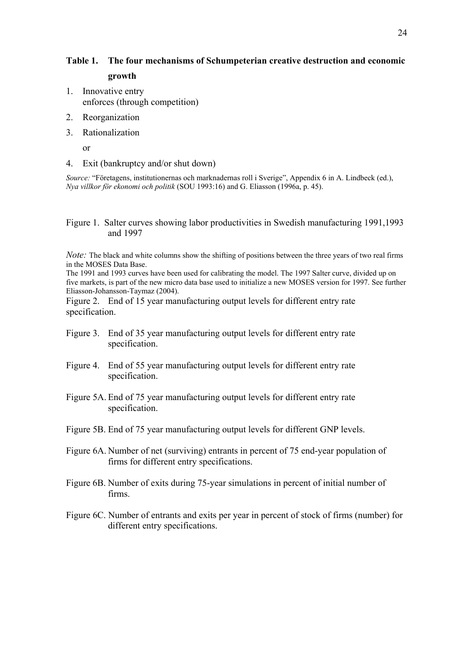## **Table 1. The four mechanisms of Schumpeterian creative destruction and economic growth**

- 1. Innovative entry enforces (through competition)
- 2. Reorganization
- 3. Rationalization

or

4. Exit (bankruptcy and/or shut down)

*Source:* "Företagens, institutionernas och marknadernas roll i Sverige", Appendix 6 in A. Lindbeck (ed.), *Nya villkor för ekonomi och politik* (SOU 1993:16) and G. Eliasson (1996a, p. 45).

Figure 1. Salter curves showing labor productivities in Swedish manufacturing 1991,1993 and 1997

*Note:* The black and white columns show the shifting of positions between the three years of two real firms in the MOSES Data Base.

The 1991 and 1993 curves have been used for calibrating the model. The 1997 Salter curve, divided up on five markets, is part of the new micro data base used to initialize a new MOSES version for 1997. See further Eliasson-Johansson-Taymaz (2004).

Figure 2. End of 15 year manufacturing output levels for different entry rate specification.

- Figure 3. End of 35 year manufacturing output levels for different entry rate specification.
- Figure 4. End of 55 year manufacturing output levels for different entry rate specification.
- Figure 5A. End of 75 year manufacturing output levels for different entry rate specification.
- Figure 5B. End of 75 year manufacturing output levels for different GNP levels.
- Figure 6A. Number of net (surviving) entrants in percent of 75 end-year population of firms for different entry specifications.
- Figure 6B. Number of exits during 75-year simulations in percent of initial number of firms.
- Figure 6C. Number of entrants and exits per year in percent of stock of firms (number) for different entry specifications.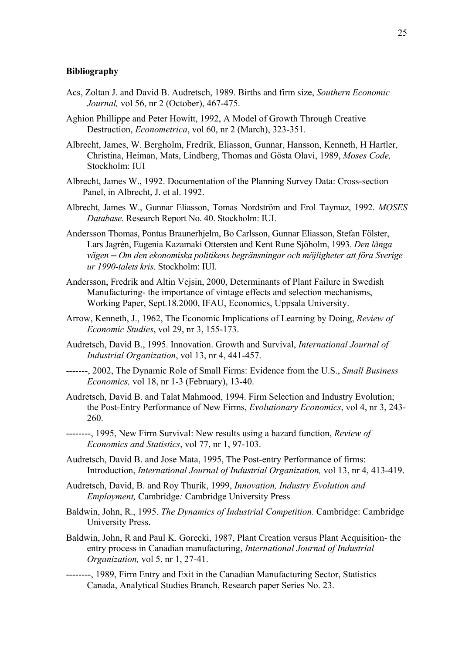#### **Bibliography**

- Acs, Zoltan J. and David B. Audretsch, 1989. Births and firm size, *Southern Economic Journal,* vol 56, nr 2 (October), 467-475.
- Aghion Phillippe and Peter Howitt, 1992, A Model of Growth Through Creative Destruction, *Econometrica*, vol 60, nr 2 (March), 323-351.
- Albrecht, James, W. Bergholm, Fredrik, Eliasson, Gunnar, Hansson, Kenneth, H Hartler, Christina, Heiman, Mats, Lindberg, Thomas and Gösta Olavi, 1989, *Moses Code,*  Stockholm: IUI
- Albrecht, James W., 1992. Documentation of the Planning Survey Data: Cross-section Panel, in Albrecht, J. et al. 1992.
- Albrecht, James W., Gunnar Eliasson, Tomas Nordström and Erol Taymaz, 1992. *MOSES Database.* Research Report No. 40. Stockholm: IUI.
- Andersson Thomas, Pontus Braunerhjelm, Bo Carlsson, Gunnar Eliasson, Stefan Fölster, Lars Jagrén, Eugenia Kazamaki Ottersten and Kent Rune Sjöholm, 1993. *Den långa vägen ─ Om den ekonomiska politikens begränsningar och möjligheter att föra Sverige ur 1990-talets kris*. Stockholm: IUI.
- Andersson, Fredrik and Altin Vejsin, 2000, Determinants of Plant Failure in Swedish Manufacturing- the importance of vintage effects and selection mechanisms, Working Paper, Sept.18.2000, IFAU, Economics, Uppsala University.
- Arrow, Kenneth, J., 1962, The Economic Implications of Learning by Doing, *Review of Economic Studies*, vol 29, nr 3, 155-173.
- Audretsch, David B., 1995. Innovation. Growth and Survival, *International Journal of Industrial Organization*, vol 13, nr 4, 441-457.
- -------, 2002, The Dynamic Role of Small Firms: Evidence from the U.S., *Small Business Economics,* vol 18, nr 1-3 (February), 13-40.
- Audretsch, David B. and Talat Mahmood, 1994. Firm Selection and Industry Evolution; the Post-Entry Performance of New Firms, *Evolutionary Economics*, vol 4, nr 3, 243- 260.
- --------, 1995, New Firm Survival: New results using a hazard function, *Review of Economics and Statistics*, vol 77, nr 1, 97-103.
- Audretsch, David B. and Jose Mata, 1995, The Post-entry Performance of firms: Introduction, *International Journal of Industrial Organization,* vol 13, nr 4, 413-419.
- Audretsch, David, B. and Roy Thurik, 1999, *Innovation, Industry Evolution and Employment,* Cambridge*:* Cambridge University Press
- Baldwin, John, R., 1995. *The Dynamics of Industrial Competition*. Cambridge: Cambridge University Press.
- Baldwin, John, R and Paul K. Gorecki, 1987, Plant Creation versus Plant Acquisition- the entry process in Canadian manufacturing, *International Journal of Industrial Organization,* vol 5, nr 1, 27-41.
- --------, 1989, Firm Entry and Exit in the Canadian Manufacturing Sector, Statistics Canada, Analytical Studies Branch, Research paper Series No. 23.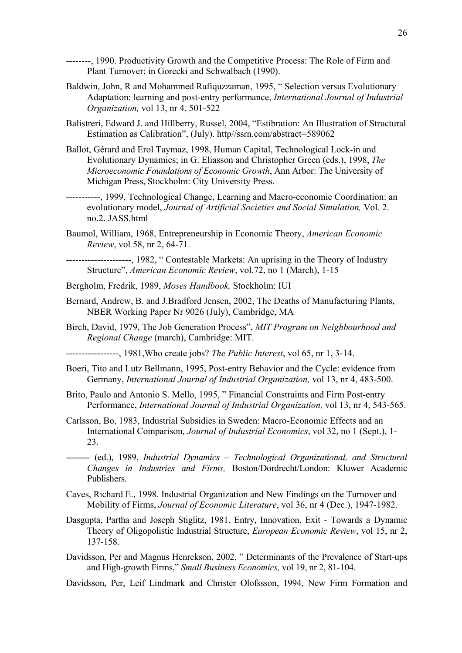--------, 1990. Productivity Growth and the Competitive Process: The Role of Firm and Plant Turnover; in Gorecki and Schwalbach (1990).

- Baldwin, John, R and Mohammed Rafiquzzaman, 1995, " Selection versus Evolutionary Adaptation: learning and post-entry performance, *International Journal of Industrial Organization,* vol 13, nr 4, 501-522
- Balistreri, Edward J. and Hillberry, Russel, 2004, "Estibration: An Illustration of Structural Estimation as Calibration", (July). http//ssrn.com/abstract=589062
- Ballot, Gérard and Erol Taymaz, 1998, Human Capital, Technological Lock-in and Evolutionary Dynamics; in G. Eliasson and Christopher Green (eds.), 1998, *The Microeconomic Foundations of Economic Growth*, Ann Arbor: The University of Michigan Press, Stockholm: City University Press.
- -----------, 1999, Technological Change, Learning and Macro-economic Coordination: an evolutionary model, *Journal of Artificial Societies and Social Simulation,* Vol. 2. no.2. JASS.html
- Baumol, William, 1968, Entrepreneurship in Economic Theory, *American Economic Review*, vol 58, nr 2, 64-71.

---------------------, 1982, " Contestable Markets: An uprising in the Theory of Industry Structure", *American Economic Review*, vol.72, no 1 (March), 1-15

Bergholm, Fredrik, 1989, *Moses Handbook,* Stockholm: IUI

- Bernard, Andrew, B. and J.Bradford Jensen, 2002, The Deaths of Manufacturing Plants, NBER Working Paper Nr 9026 (July), Cambridge, MA
- Birch, David, 1979, The Job Generation Process", *MIT Program on Neighbourhood and Regional Change* (march), Cambridge: MIT.

-----------------, 1981,Who create jobs? *The Public Interest*, vol 65, nr 1, 3-14.

- Boeri, Tito and Lutz Bellmann, 1995, Post-entry Behavior and the Cycle: evidence from Germany, *International Journal of Industrial Organization,* vol 13, nr 4, 483-500.
- Brito, Paulo and Antonio S. Mello, 1995, " Financial Constraints and Firm Post-entry Performance, *International Journal of Industrial Organization,* vol 13, nr 4, 543-565.
- Carlsson, Bo, 1983, Industrial Subsidies in Sweden: Macro-Economic Effects and an International Comparison, *Journal of Industrial Economics*, vol 32, no 1 (Sept.), 1- 23.
- -------- (ed.), 1989, *Industrial Dynamics Technological Organizational, and Structural Changes in Industries and Firms,* Boston/Dordrecht/London: Kluwer Academic Publishers.
- Caves, Richard E., 1998. Industrial Organization and New Findings on the Turnover and Mobility of Firms, *Journal of Economic Literature*, vol 36, nr 4 (Dec.), 1947-1982.
- Dasgupta, Partha and Joseph Stiglitz, 1981. Entry, Innovation, Exit Towards a Dynamic Theory of Oligopolistic Industrial Structure, *European Economic Review*, vol 15, nr 2, 137-158.
- Davidsson, Per and Magnus Henrekson, 2002, " Determinants of the Prevalence of Start-ups and High-growth Firms," *Small Business Economics,* vol 19, nr 2, 81-104.

Davidsson, Per, Leif Lindmark and Christer Olofssson, 1994, New Firm Formation and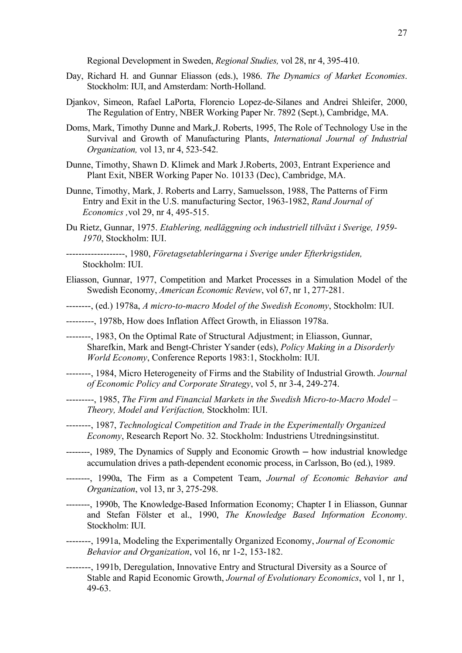Regional Development in Sweden, *Regional Studies,* vol 28, nr 4, 395-410.

- Day, Richard H. and Gunnar Eliasson (eds.), 1986. *The Dynamics of Market Economies*. Stockholm: IUI, and Amsterdam: North-Holland.
- Djankov, Simeon, Rafael LaPorta, Florencio Lopez-de-Silanes and Andrei Shleifer, 2000, The Regulation of Entry, NBER Working Paper Nr. 7892 (Sept.), Cambridge, MA.
- Doms, Mark, Timothy Dunne and Mark,J. Roberts, 1995, The Role of Technology Use in the Survival and Growth of Manufacturing Plants, *International Journal of Industrial Organization,* vol 13, nr 4, 523-542.
- Dunne, Timothy, Shawn D. Klimek and Mark J.Roberts, 2003, Entrant Experience and Plant Exit, NBER Working Paper No. 10133 (Dec), Cambridge, MA.
- Dunne, Timothy, Mark, J. Roberts and Larry, Samuelsson, 1988, The Patterns of Firm Entry and Exit in the U.S. manufacturing Sector, 1963-1982, *Rand Journal of Economics ,*vol 29, nr 4, 495-515.
- Du Rietz, Gunnar, 1975. *Etablering, nedläggning och industriell tillväxt i Sverige, 1959- 1970*, Stockholm: IUI.

-------------------, 1980, *Företagsetableringarna i Sverige under Efterkrigstiden,*  Stockholm: IUI.

- Eliasson, Gunnar, 1977, Competition and Market Processes in a Simulation Model of the Swedish Economy, *American Economic Review*, vol 67, nr 1, 277-281.
- --------, (ed.) 1978a, *A micro-to-macro Model of the Swedish Economy*, Stockholm: IUI.
- ---------, 1978b, How does Inflation Affect Growth, in Eliasson 1978a.
- --------, 1983, On the Optimal Rate of Structural Adjustment; in Eliasson, Gunnar, Sharefkin, Mark and Bengt-Christer Ysander (eds), *Policy Making in a Disorderly World Economy*, Conference Reports 1983:1, Stockholm: IUI.
- --------, 1984, Micro Heterogeneity of Firms and the Stability of Industrial Growth. *Journal of Economic Policy and Corporate Strategy*, vol 5, nr 3-4, 249-274.
- ---------, 1985, *The Firm and Financial Markets in the Swedish Micro-to-Macro Model Theory, Model and Verifaction,* Stockholm: IUI.
- --------, 1987, *Technological Competition and Trade in the Experimentally Organized Economy*, Research Report No. 32. Stockholm: Industriens Utredningsinstitut.
- --------, 1989, The Dynamics of Supply and Economic Growth ─ how industrial knowledge accumulation drives a path-dependent economic process, in Carlsson, Bo (ed.), 1989.
- --------, 1990a, The Firm as a Competent Team, *Journal of Economic Behavior and Organization*, vol 13, nr 3, 275-298.
- --------, 1990b, The Knowledge-Based Information Economy; Chapter I in Eliasson, Gunnar and Stefan Fölster et al., 1990, *The Knowledge Based Information Economy*. Stockholm: IUI.
- --------, 1991a, Modeling the Experimentally Organized Economy, *Journal of Economic Behavior and Organization*, vol 16, nr 1-2, 153-182.
- --------, 1991b, Deregulation, Innovative Entry and Structural Diversity as a Source of Stable and Rapid Economic Growth, *Journal of Evolutionary Economics*, vol 1, nr 1, 49-63.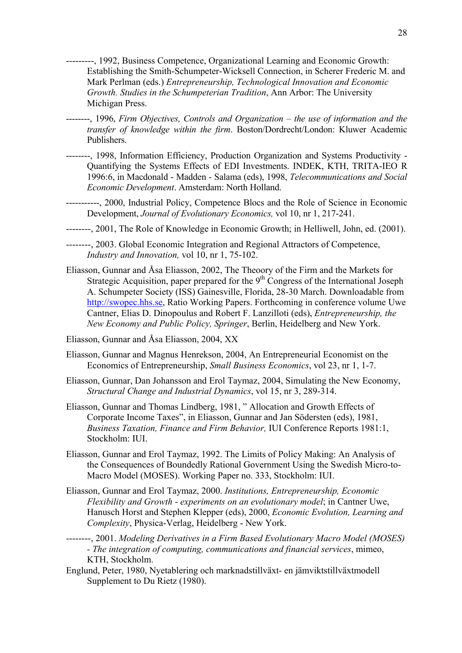- ---------, 1992, Business Competence, Organizational Learning and Economic Growth: Establishing the Smith-Schumpeter-Wicksell Connection, in Scherer Frederic M. and Mark Perlman (eds.) *Entrepreneurship, Technological Innovation and Economic Growth. Studies in the Schumpeterian Tradition*, Ann Arbor: The University Michigan Press.
- --------, 1996, *Firm Objectives, Controls and Organization the use of information and the transfer of knowledge within the firm*. Boston/Dordrecht/London: Kluwer Academic Publishers.
- --------, 1998, Information Efficiency, Production Organization and Systems Productivity Quantifying the Systems Effects of EDI Investments. INDEK, KTH, TRITA-IEO R 1996:6, in Macdonald - Madden - Salama (eds), 1998, *Telecommunications and Social Economic Development*. Amsterdam: North Holland.
- -----------, 2000, Industrial Policy, Competence Blocs and the Role of Science in Economic Development, *Journal of Evolutionary Economics,* vol 10, nr 1, 217-241.
- --------, 2001, The Role of Knowledge in Economic Growth; in Helliwell, John, ed. (2001).
- --------, 2003. Global Economic Integration and Regional Attractors of Competence, *Industry and Innovation,* vol 10, nr 1, 75-102.
- Eliasson, Gunnar and Åsa Eliasson, 2002, The Theoory of the Firm and the Markets for Strategic Acquisition, paper prepared for the  $9<sup>th</sup>$  Congress of the International Joseph A. Schumpeter Society (ISS) Gainesville, Florida, 28-30 March. Downloadable from [http://swopec.hhs.se](http://swopec.hhs.se/), Ratio Working Papers. Forthcoming in conference volume Uwe Cantner, Elias D. Dinopoulus and Robert F. Lanzilloti (eds), *Entrepreneurship, the New Economy and Public Policy, Springer*, Berlin, Heidelberg and New York.
- Eliasson, Gunnar and Åsa Eliasson, 2004, XX
- Eliasson, Gunnar and Magnus Henrekson, 2004, An Entrepreneurial Economist on the Economics of Entrepreneurship, *Small Business Economics*, vol 23, nr 1, 1-7.
- Eliasson, Gunnar, Dan Johansson and Erol Taymaz, 2004, Simulating the New Economy, *Structural Change and Industrial Dynamics*, vol 15, nr 3, 289-314.
- Eliasson, Gunnar and Thomas Lindberg, 1981, " Allocation and Growth Effects of Corporate Income Taxes", in Eliasson, Gunnar and Jan Södersten (eds), 1981, *Business Taxation, Finance and Firm Behavior,* IUI Conference Reports 1981:1, Stockholm: IUI.
- Eliasson, Gunnar and Erol Taymaz, 1992. The Limits of Policy Making: An Analysis of the Consequences of Boundedly Rational Government Using the Swedish Micro-to-Macro Model (MOSES). Working Paper no. 333, Stockholm: IUI.
- Eliasson, Gunnar and Erol Taymaz, 2000. *Institutions, Entrepreneurship, Economic Flexibility and Growth - experiments on an evolutionary model*; in Cantner Uwe, Hanusch Horst and Stephen Klepper (eds), 2000, *Economic Evolution, Learning and Complexity*, Physica-Verlag, Heidelberg - New York.
- --------, 2001. *Modeling Derivatives in a Firm Based Evolutionary Macro Model (MOSES) - The integration of computing, communications and financial services*, mimeo, KTH, Stockholm.
- Englund, Peter, 1980, Nyetablering och marknadstillväxt- en jämviktstillväxtmodell Supplement to Du Rietz (1980).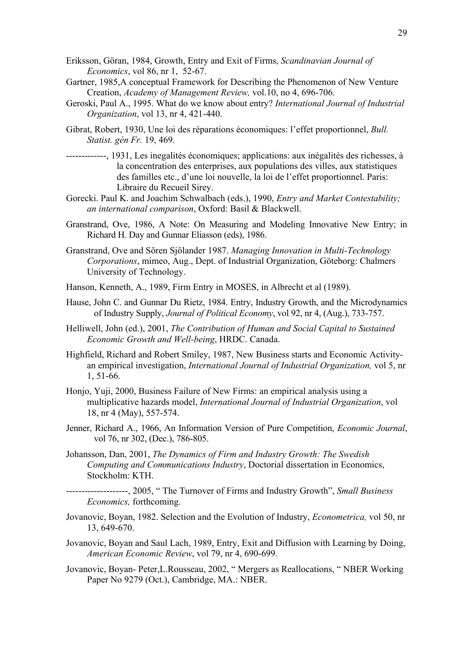- Eriksson, Göran, 1984, Growth, Entry and Exit of Firms, *Scandinavian Journal of Economics*, vol 86, nr 1, 52-67.
- Gartner, 1985,A conceptual Framework for Describing the Phenomenon of New Venture Creation, *Academy of Management Review,* vol.10, no 4, 696-706.
- Geroski, Paul A., 1995. What do we know about entry? *International Journal of Industrial Organization*, vol 13, nr 4, 421-440.
- Gibrat, Robert, 1930, Une loi des réparations économiques: l'effet proportionnel, *Bull. Statist. gén Fr.* 19, 469.
- -------------, 1931, Les inegalités économiques; applications: aux inégalités des richesses, à la concentration des enterprises, aux populations des villes, aux statistiques des familles etc., d'une loi nouvelle, la loi de l'effet proportionnel. Paris: Libraire du Recueil Sirey.
- Gorecki. Paul K. and Joachim Schwalbach (eds.), 1990, *Entry and Market Contestability; an international comparison*, Oxford: Basil & Blackwell.
- Granstrand, Ove, 1986, A Note: On Measuring and Modeling Innovative New Entry; in Richard H. Day and Gunnar Eliasson (eds), 1986.
- Granstrand, Ove and Sören Sjölander 1987. *Managing Innovation in Multi-Technology Corporations*, mimeo, Aug., Dept. of Industrial Organization, Göteborg: Chalmers University of Technology.
- Hanson, Kenneth, A., 1989, Firm Entry in MOSES, in Albrecht et al (1989).
- Hause, John C. and Gunnar Du Rietz, 1984. Entry, Industry Growth, and the Microdynamics of Industry Supply, *Journal of Political Economy*, vol 92, nr 4, (Aug.), 733-757.
- Helliwell, John (ed.), 2001, *The Contribution of Human and Social Capital to Sustained Economic Growth and Well-being*, HRDC. Canada.
- Highfield, Richard and Robert Smiley, 1987, New Business starts and Economic Activityan empirical investigation, *International Journal of Industrial Organization,* vol 5, nr 1, 51-66.
- Honjo, Yuji, 2000, Business Failure of New Firms: an empirical analysis using a multiplicative hazards model, *International Journal of Industrial Organization*, vol 18, nr 4 (May), 557-574.
- Jenner, Richard A., 1966, An Information Version of Pure Competition, *Economic Journal*, vol 76, nr 302, (Dec.), 786-805.
- Johansson, Dan, 2001, *The Dynamics of Firm and Industry Growth: The Swedish Computing and Communications Industry*, Doctorial dissertation in Economics, Stockholm: KTH.
- --------------------, 2005, " The Turnover of Firms and Industry Growth", *Small Business Economics,* forthcoming.
- Jovanovic, Boyan, 1982. Selection and the Evolution of Industry, *Econometrica,* vol 50, nr 13, 649-670.
- Jovanovic, Boyan and Saul Lach, 1989, Entry, Exit and Diffusion with Learning by Doing, *American Economic Review*, vol 79, nr 4, 690-699.
- Jovanovic, Boyan- Peter,L.Rousseau, 2002, " Mergers as Reallocations, " NBER Working Paper No 9279 (Oct.), Cambridge, MA.: NBER.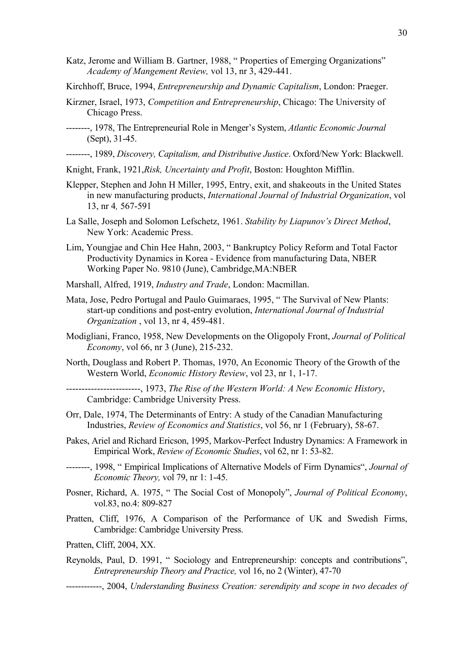- Katz, Jerome and William B. Gartner, 1988, " Properties of Emerging Organizations" *Academy of Mangement Review,* vol 13, nr 3, 429-441.
- Kirchhoff, Bruce, 1994, *Entrepreneurship and Dynamic Capitalism*, London: Praeger.
- Kirzner, Israel, 1973, *Competition and Entrepreneurship*, Chicago: The University of Chicago Press.
- --------, 1978, The Entrepreneurial Role in Menger's System, *Atlantic Economic Journal* (Sept), 31-45.

--------, 1989, *Discovery, Capitalism, and Distributive Justice*. Oxford/New York: Blackwell.

- Knight, Frank, 1921,*Risk, Uncertainty and Profit*, Boston: Houghton Mifflin.
- Klepper, Stephen and John H Miller, 1995, Entry, exit, and shakeouts in the United States in new manufacturing products, *International Journal of Industrial Organization*, vol 13, nr 4*,* 567-591
- La Salle, Joseph and Solomon Lefschetz, 1961. *Stability by Liapunov's Direct Method*, New York: Academic Press.
- Lim, Youngjae and Chin Hee Hahn, 2003, " Bankruptcy Policy Reform and Total Factor Productivity Dynamics in Korea - Evidence from manufacturing Data, NBER Working Paper No. 9810 (June), Cambridge,MA:NBER
- Marshall, Alfred, 1919, *Industry and Trade*, London: Macmillan.
- Mata, Jose, Pedro Portugal and Paulo Guimaraes, 1995, " The Survival of New Plants: start-up conditions and post-entry evolution, *International Journal of Industrial Organization* , vol 13, nr 4, 459-481.
- Modigliani, Franco, 1958, New Developments on the Oligopoly Front, *Journal of Political Economy*, vol 66, nr 3 (June), 215-232.
- North, Douglass and Robert P. Thomas, 1970, An Economic Theory of the Growth of the Western World, *Economic History Review*, vol 23, nr 1, 1-17.
- ------------------------, 1973, *The Rise of the Western World: A New Economic History*, Cambridge: Cambridge University Press.
- Orr, Dale, 1974, The Determinants of Entry: A study of the Canadian Manufacturing Industries, *Review of Economics and Statistics*, vol 56, nr 1 (February), 58-67.
- Pakes, Ariel and Richard Ericson, 1995, Markov-Perfect Industry Dynamics: A Framework in Empirical Work, *Review of Economic Studies*, vol 62, nr 1: 53-82.
- --------, 1998, " Empirical Implications of Alternative Models of Firm Dynamics", *Journal of Economic Theory,* vol 79, nr 1: 1-45.
- Posner, Richard, A. 1975, " The Social Cost of Monopoly", *Journal of Political Economy*, vol.83, no.4: 809-827
- Pratten, Cliff, 1976, A Comparison of the Performance of UK and Swedish Firms, Cambridge: Cambridge University Press.
- Pratten, Cliff, 2004, XX.
- Reynolds, Paul, D. 1991, " Sociology and Entrepreneurship: concepts and contributions", *Entrepreneurship Theory and Practice,* vol 16, no 2 (Winter), 47-70
- ------------, 2004, *Understanding Business Creation: serendipity and scope in two decades of*